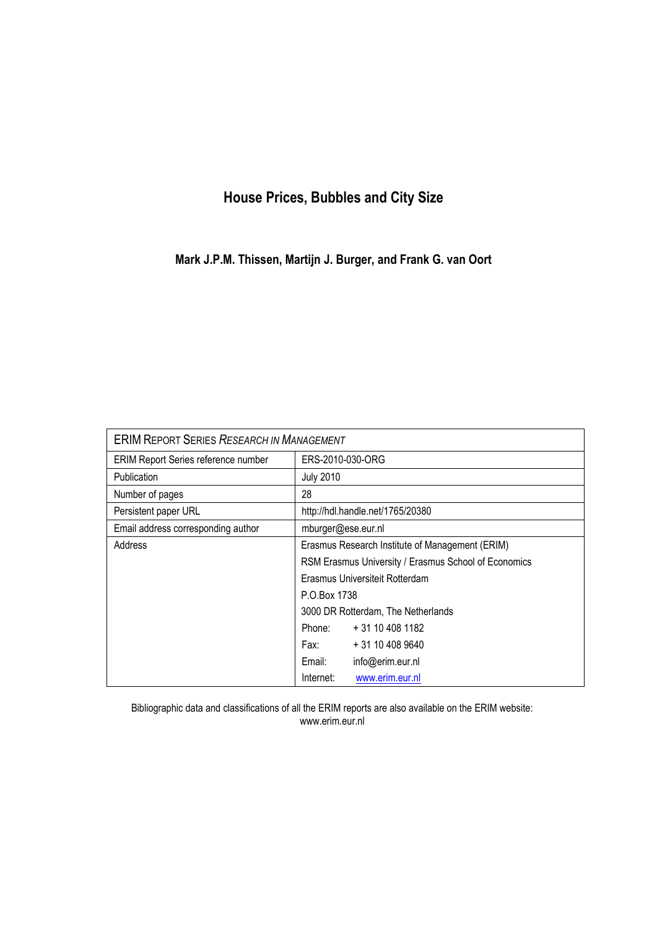## **House Prices, Bubbles and City Size**

**Mark J.P.M. Thissen, Martijn J. Burger, and Frank G. van Oort**

| <b>ERIM REPORT SERIES RESEARCH IN MANAGEMENT</b> |                                                                                      |                  |  |  |
|--------------------------------------------------|--------------------------------------------------------------------------------------|------------------|--|--|
| <b>ERIM Report Series reference number</b>       | ERS-2010-030-ORG                                                                     |                  |  |  |
| <b>Publication</b>                               | <b>July 2010</b>                                                                     |                  |  |  |
| Number of pages                                  | 28                                                                                   |                  |  |  |
| Persistent paper URL                             | http://hdl.handle.net/1765/20380                                                     |                  |  |  |
| Email address corresponding author               | mburger@ese.eur.nl                                                                   |                  |  |  |
| Address                                          | Erasmus Research Institute of Management (ERIM)                                      |                  |  |  |
|                                                  | RSM Erasmus University / Erasmus School of Economics                                 |                  |  |  |
|                                                  | Erasmus Universiteit Rotterdam<br>P.O.Box 1738<br>3000 DR Rotterdam, The Netherlands |                  |  |  |
|                                                  |                                                                                      |                  |  |  |
|                                                  |                                                                                      |                  |  |  |
|                                                  | Phone:                                                                               | + 31 10 408 1182 |  |  |
|                                                  | Fax: Fax:                                                                            | + 31 10 408 9640 |  |  |
|                                                  | Email:                                                                               | info@erim.eur.nl |  |  |
|                                                  | Internet:                                                                            | www.erim.eur.nl  |  |  |

Bibliographic data and classifications of all the ERIM reports are also available on the ERIM website: www.erim.eur.nl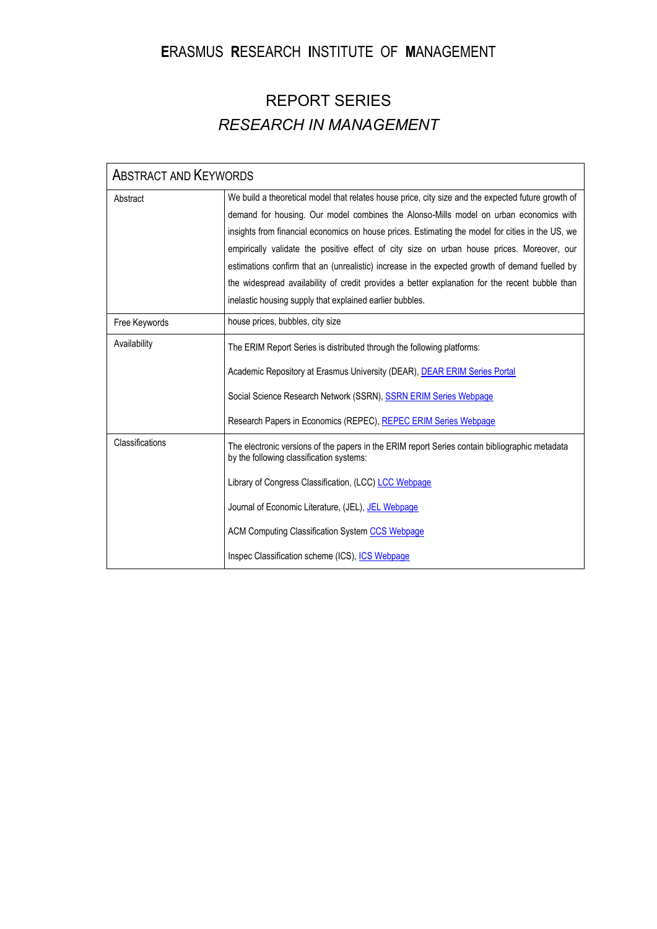## **E**RASMUS **R**ESEARCH **I**NSTITUTE OF **M**ANAGEMENT

# REPORT SERIES *RESEARCH IN MANAGEMENT*

| <b>ABSTRACT AND KEYWORDS</b> |                                                                                                                                                                                                                                                                                                                                                                                                                                                                                                                                                                                                                                                               |  |
|------------------------------|---------------------------------------------------------------------------------------------------------------------------------------------------------------------------------------------------------------------------------------------------------------------------------------------------------------------------------------------------------------------------------------------------------------------------------------------------------------------------------------------------------------------------------------------------------------------------------------------------------------------------------------------------------------|--|
| Abstract                     | We build a theoretical model that relates house price, city size and the expected future growth of<br>demand for housing. Our model combines the Alonso-Mills model on urban economics with<br>insights from financial economics on house prices. Estimating the model for cities in the US, we<br>empirically validate the positive effect of city size on urban house prices. Moreover, our<br>estimations confirm that an (unrealistic) increase in the expected growth of demand fuelled by<br>the widespread availability of credit provides a better explanation for the recent bubble than<br>inelastic housing supply that explained earlier bubbles. |  |
| Free Keywords                | house prices, bubbles, city size                                                                                                                                                                                                                                                                                                                                                                                                                                                                                                                                                                                                                              |  |
| Availability                 | The ERIM Report Series is distributed through the following platforms:<br>Academic Repository at Erasmus University (DEAR), <b>DEAR ERIM Series Portal</b><br>Social Science Research Network (SSRN), SSRN ERIM Series Webpage<br>Research Papers in Economics (REPEC), REPEC ERIM Series Webpage                                                                                                                                                                                                                                                                                                                                                             |  |
| Classifications              | The electronic versions of the papers in the ERIM report Series contain bibliographic metadata<br>by the following classification systems:<br>Library of Congress Classification, (LCC) LCC Webpage<br>Journal of Economic Literature, (JEL), JEL Webpage<br><b>ACM Computing Classification System CCS Webpage</b><br>Inspec Classification scheme (ICS), ICS Webpage                                                                                                                                                                                                                                                                                        |  |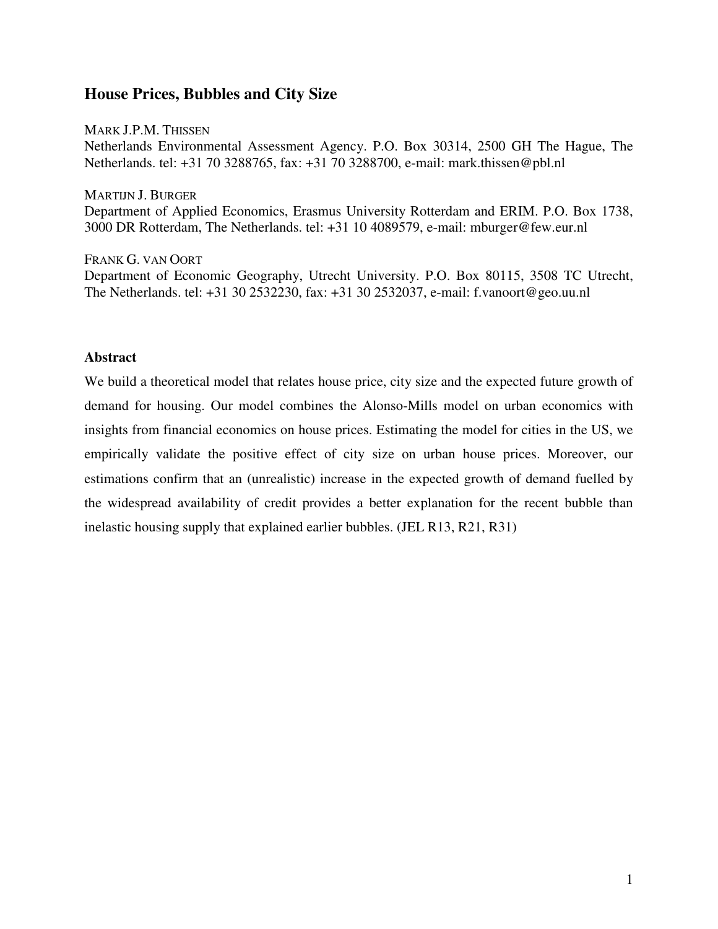## **House Prices, Bubbles and City Size**

MARK J.P.M. THISSEN Netherlands Environmental Assessment Agency. P.O. Box 30314, 2500 GH The Hague, The Netherlands. tel: +31 70 3288765, fax: +31 70 3288700, e-mail: mark.thissen@pbl.nl

MARTIJN J. BURGER Department of Applied Economics, Erasmus University Rotterdam and ERIM. P.O. Box 1738, 3000 DR Rotterdam, The Netherlands. tel: +31 10 4089579, e-mail: mburger@few.eur.nl

FRANK G. VAN OORT Department of Economic Geography, Utrecht University. P.O. Box 80115, 3508 TC Utrecht, The Netherlands. tel: +31 30 2532230, fax: +31 30 2532037, e-mail: f.vanoort@geo.uu.nl

## **Abstract**

We build a theoretical model that relates house price, city size and the expected future growth of demand for housing. Our model combines the Alonso-Mills model on urban economics with insights from financial economics on house prices. Estimating the model for cities in the US, we empirically validate the positive effect of city size on urban house prices. Moreover, our estimations confirm that an (unrealistic) increase in the expected growth of demand fuelled by the widespread availability of credit provides a better explanation for the recent bubble than inelastic housing supply that explained earlier bubbles. (JEL R13, R21, R31)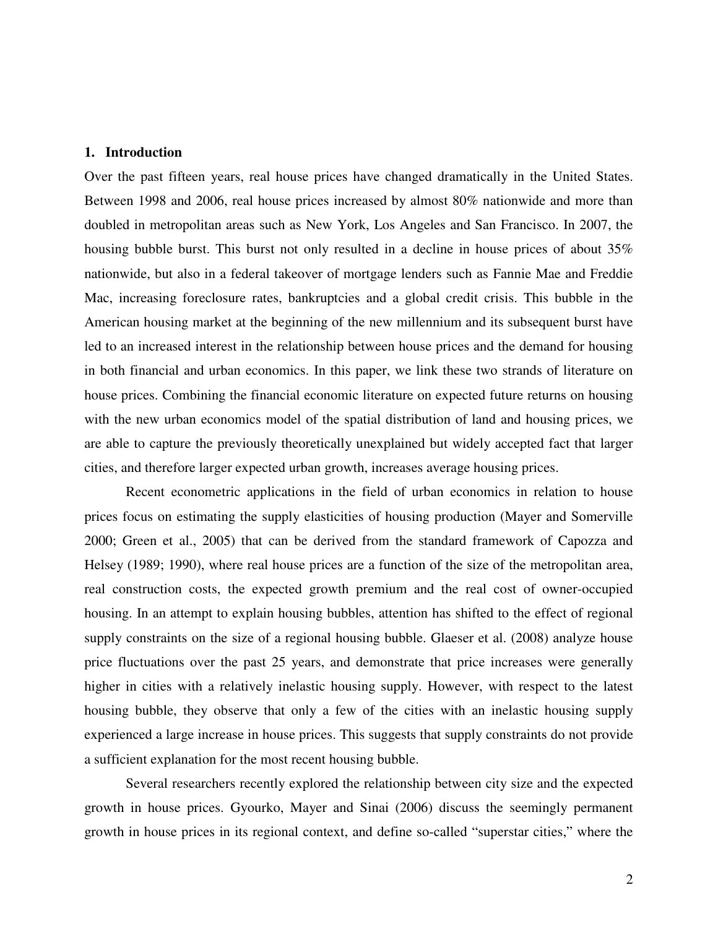## **1. Introduction**

Over the past fifteen years, real house prices have changed dramatically in the United States. Between 1998 and 2006, real house prices increased by almost 80% nationwide and more than doubled in metropolitan areas such as New York, Los Angeles and San Francisco. In 2007, the housing bubble burst. This burst not only resulted in a decline in house prices of about 35% nationwide, but also in a federal takeover of mortgage lenders such as Fannie Mae and Freddie Mac, increasing foreclosure rates, bankruptcies and a global credit crisis. This bubble in the American housing market at the beginning of the new millennium and its subsequent burst have led to an increased interest in the relationship between house prices and the demand for housing in both financial and urban economics. In this paper, we link these two strands of literature on house prices. Combining the financial economic literature on expected future returns on housing with the new urban economics model of the spatial distribution of land and housing prices, we are able to capture the previously theoretically unexplained but widely accepted fact that larger cities, and therefore larger expected urban growth, increases average housing prices.

Recent econometric applications in the field of urban economics in relation to house prices focus on estimating the supply elasticities of housing production (Mayer and Somerville 2000; Green et al., 2005) that can be derived from the standard framework of Capozza and Helsey (1989; 1990), where real house prices are a function of the size of the metropolitan area, real construction costs, the expected growth premium and the real cost of owner-occupied housing. In an attempt to explain housing bubbles, attention has shifted to the effect of regional supply constraints on the size of a regional housing bubble. Glaeser et al. (2008) analyze house price fluctuations over the past 25 years, and demonstrate that price increases were generally higher in cities with a relatively inelastic housing supply. However, with respect to the latest housing bubble, they observe that only a few of the cities with an inelastic housing supply experienced a large increase in house prices. This suggests that supply constraints do not provide a sufficient explanation for the most recent housing bubble.

Several researchers recently explored the relationship between city size and the expected growth in house prices. Gyourko, Mayer and Sinai (2006) discuss the seemingly permanent growth in house prices in its regional context, and define so-called "superstar cities," where the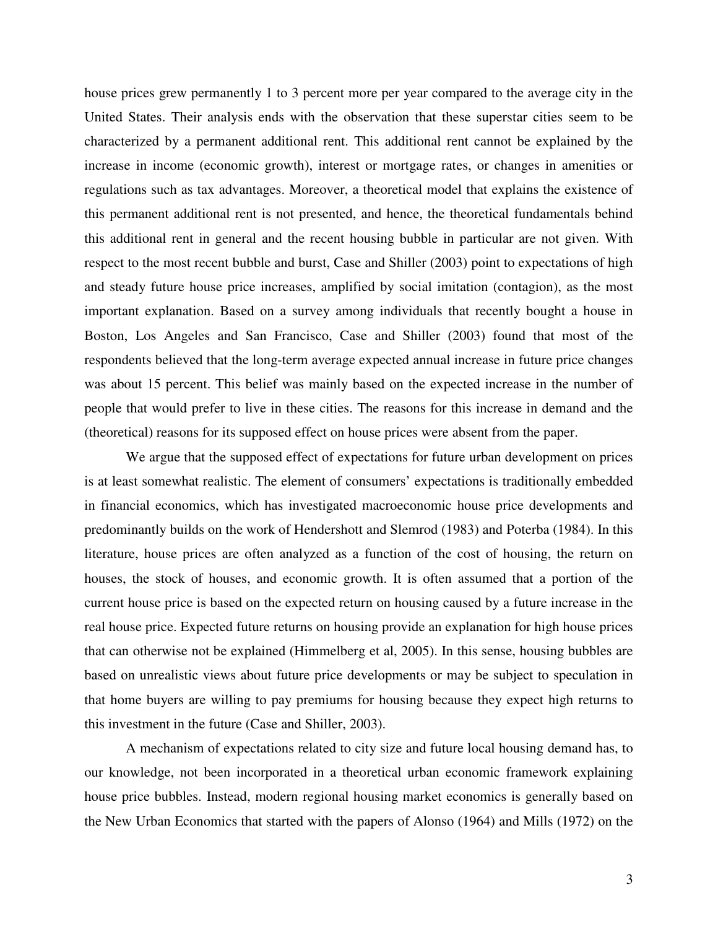house prices grew permanently 1 to 3 percent more per year compared to the average city in the United States. Their analysis ends with the observation that these superstar cities seem to be characterized by a permanent additional rent. This additional rent cannot be explained by the increase in income (economic growth), interest or mortgage rates, or changes in amenities or regulations such as tax advantages. Moreover, a theoretical model that explains the existence of this permanent additional rent is not presented, and hence, the theoretical fundamentals behind this additional rent in general and the recent housing bubble in particular are not given. With respect to the most recent bubble and burst, Case and Shiller (2003) point to expectations of high and steady future house price increases, amplified by social imitation (contagion), as the most important explanation. Based on a survey among individuals that recently bought a house in Boston, Los Angeles and San Francisco, Case and Shiller (2003) found that most of the respondents believed that the long-term average expected annual increase in future price changes was about 15 percent. This belief was mainly based on the expected increase in the number of people that would prefer to live in these cities. The reasons for this increase in demand and the (theoretical) reasons for its supposed effect on house prices were absent from the paper.

We argue that the supposed effect of expectations for future urban development on prices is at least somewhat realistic. The element of consumers' expectations is traditionally embedded in financial economics, which has investigated macroeconomic house price developments and predominantly builds on the work of Hendershott and Slemrod (1983) and Poterba (1984). In this literature, house prices are often analyzed as a function of the cost of housing, the return on houses, the stock of houses, and economic growth. It is often assumed that a portion of the current house price is based on the expected return on housing caused by a future increase in the real house price. Expected future returns on housing provide an explanation for high house prices that can otherwise not be explained (Himmelberg et al, 2005). In this sense, housing bubbles are based on unrealistic views about future price developments or may be subject to speculation in that home buyers are willing to pay premiums for housing because they expect high returns to this investment in the future (Case and Shiller, 2003).

A mechanism of expectations related to city size and future local housing demand has, to our knowledge, not been incorporated in a theoretical urban economic framework explaining house price bubbles. Instead, modern regional housing market economics is generally based on the New Urban Economics that started with the papers of Alonso (1964) and Mills (1972) on the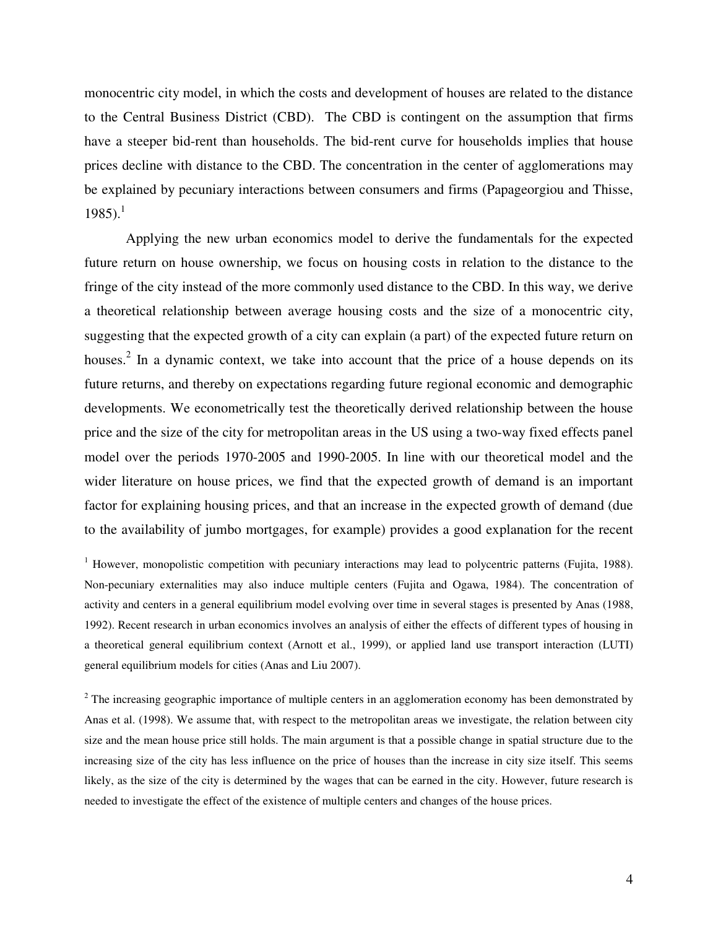monocentric city model, in which the costs and development of houses are related to the distance to the Central Business District (CBD). The CBD is contingent on the assumption that firms have a steeper bid-rent than households. The bid-rent curve for households implies that house prices decline with distance to the CBD. The concentration in the center of agglomerations may be explained by pecuniary interactions between consumers and firms (Papageorgiou and Thisse, 1985).<sup>1</sup>

Applying the new urban economics model to derive the fundamentals for the expected future return on house ownership, we focus on housing costs in relation to the distance to the fringe of the city instead of the more commonly used distance to the CBD. In this way, we derive a theoretical relationship between average housing costs and the size of a monocentric city, suggesting that the expected growth of a city can explain (a part) of the expected future return on houses.<sup>2</sup> In a dynamic context, we take into account that the price of a house depends on its future returns, and thereby on expectations regarding future regional economic and demographic developments. We econometrically test the theoretically derived relationship between the house price and the size of the city for metropolitan areas in the US using a two-way fixed effects panel model over the periods 1970-2005 and 1990-2005. In line with our theoretical model and the wider literature on house prices, we find that the expected growth of demand is an important factor for explaining housing prices, and that an increase in the expected growth of demand (due to the availability of jumbo mortgages, for example) provides a good explanation for the recent

<sup>1</sup> However, monopolistic competition with pecuniary interactions may lead to polycentric patterns (Fujita, 1988). Non-pecuniary externalities may also induce multiple centers (Fujita and Ogawa, 1984). The concentration of activity and centers in a general equilibrium model evolving over time in several stages is presented by Anas (1988, 1992). Recent research in urban economics involves an analysis of either the effects of different types of housing in a theoretical general equilibrium context (Arnott et al., 1999), or applied land use transport interaction (LUTI) general equilibrium models for cities (Anas and Liu 2007).

 $2$  The increasing geographic importance of multiple centers in an agglomeration economy has been demonstrated by Anas et al. (1998). We assume that, with respect to the metropolitan areas we investigate, the relation between city size and the mean house price still holds. The main argument is that a possible change in spatial structure due to the increasing size of the city has less influence on the price of houses than the increase in city size itself. This seems likely, as the size of the city is determined by the wages that can be earned in the city. However, future research is needed to investigate the effect of the existence of multiple centers and changes of the house prices.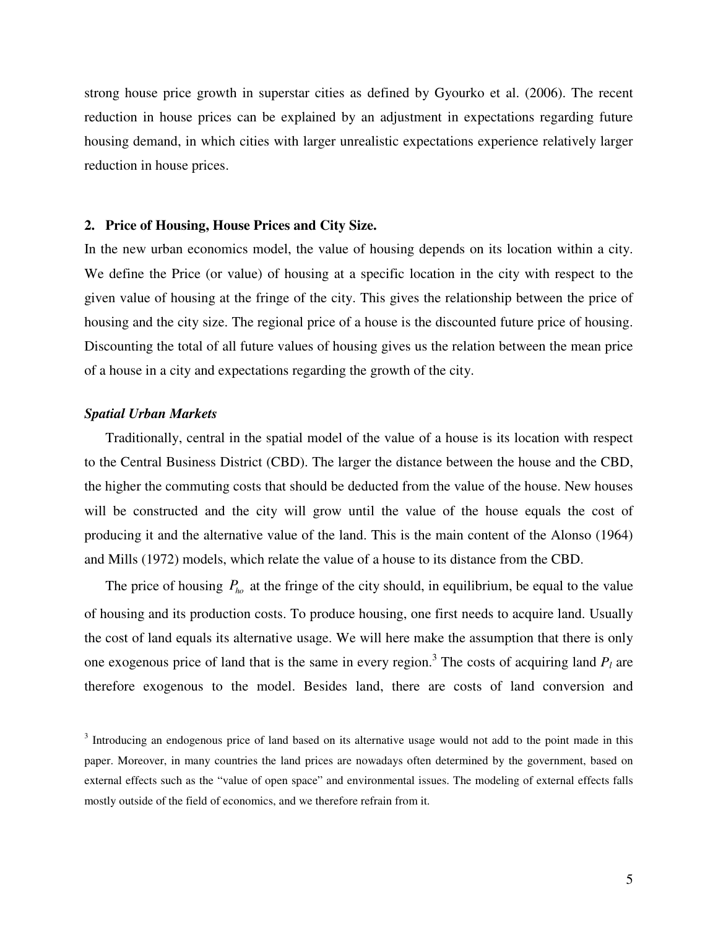strong house price growth in superstar cities as defined by Gyourko et al. (2006). The recent reduction in house prices can be explained by an adjustment in expectations regarding future housing demand, in which cities with larger unrealistic expectations experience relatively larger reduction in house prices.

## **2. Price of Housing, House Prices and City Size.**

In the new urban economics model, the value of housing depends on its location within a city. We define the Price (or value) of housing at a specific location in the city with respect to the given value of housing at the fringe of the city. This gives the relationship between the price of housing and the city size. The regional price of a house is the discounted future price of housing. Discounting the total of all future values of housing gives us the relation between the mean price of a house in a city and expectations regarding the growth of the city.

## *Spatial Urban Markets*

Traditionally, central in the spatial model of the value of a house is its location with respect to the Central Business District (CBD). The larger the distance between the house and the CBD, the higher the commuting costs that should be deducted from the value of the house. New houses will be constructed and the city will grow until the value of the house equals the cost of producing it and the alternative value of the land. This is the main content of the Alonso (1964) and Mills (1972) models, which relate the value of a house to its distance from the CBD.

The price of housing  $P_{h_0}$  at the fringe of the city should, in equilibrium, be equal to the value of housing and its production costs. To produce housing, one first needs to acquire land. Usually the cost of land equals its alternative usage. We will here make the assumption that there is only one exogenous price of land that is the same in every region.<sup>3</sup> The costs of acquiring land  $P_l$  are therefore exogenous to the model. Besides land, there are costs of land conversion and

 $3$  Introducing an endogenous price of land based on its alternative usage would not add to the point made in this paper. Moreover, in many countries the land prices are nowadays often determined by the government, based on external effects such as the "value of open space" and environmental issues. The modeling of external effects falls mostly outside of the field of economics, and we therefore refrain from it.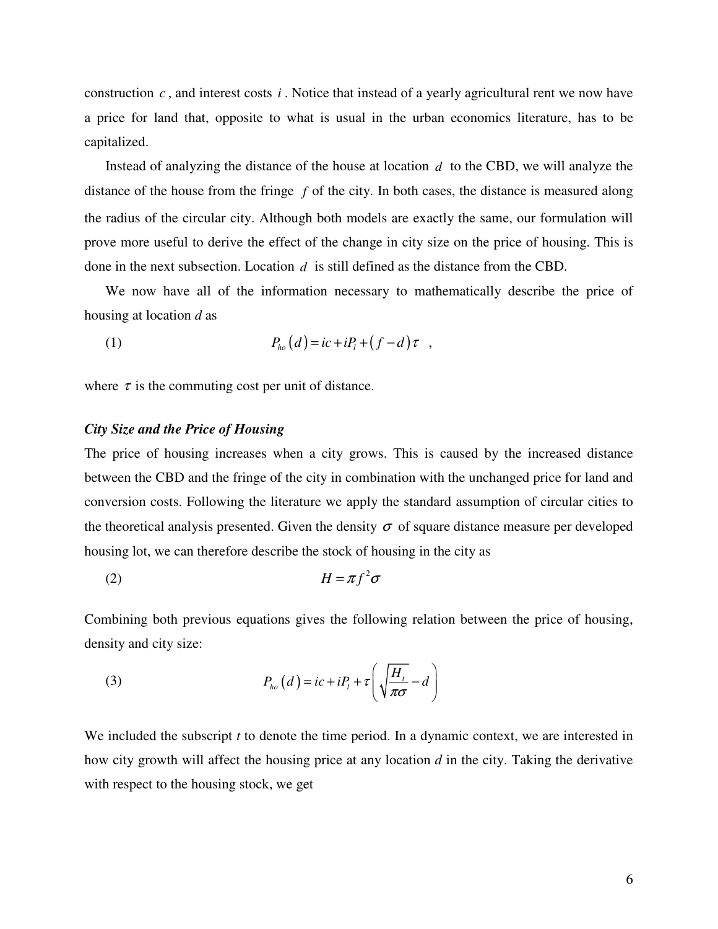construction  $c$ , and interest costs  $i$ . Notice that instead of a yearly agricultural rent we now have a price for land that, opposite to what is usual in the urban economics literature, has to be capitalized.

Instead of analyzing the distance of the house at location *d* to the CBD, we will analyze the distance of the house from the fringe *f* of the city. In both cases, the distance is measured along the radius of the circular city. Although both models are exactly the same, our formulation will prove more useful to derive the effect of the change in city size on the price of housing. This is done in the next subsection. Location *d* is still defined as the distance from the CBD.

We now have all of the information necessary to mathematically describe the price of housing at location *d* as

$$
(1) \t\t Pho(d) = ic + iPl + (f - d) \tau ,
$$

where  $\tau$  is the commuting cost per unit of distance.

## *City Size and the Price of Housing*

The price of housing increases when a city grows. This is caused by the increased distance between the CBD and the fringe of the city in combination with the unchanged price for land and conversion costs. Following the literature we apply the standard assumption of circular cities to the theoretical analysis presented. Given the density  $\sigma$  of square distance measure per developed housing lot, we can therefore describe the stock of housing in the city as

(2) <sup>2</sup> *H f* =<sup>π</sup> <sup>σ</sup>

Combining both previous equations gives the following relation between the price of housing, density and city size:

(3) 
$$
P_{ho}(d) = ic + iP_{i} + \tau \left(\sqrt{\frac{H_{i}}{\pi \sigma}} - d\right)
$$

We included the subscript *t* to denote the time period. In a dynamic context, we are interested in how city growth will affect the housing price at any location *d* in the city. Taking the derivative with respect to the housing stock, we get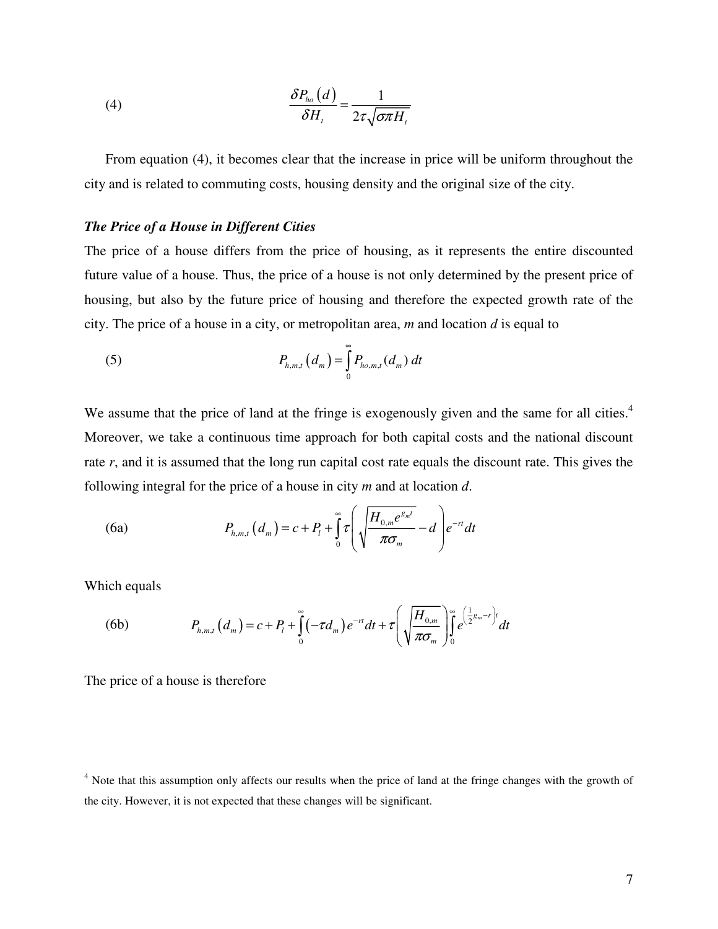(4) 
$$
\frac{\delta P_{ho}(d)}{\delta H_{t}} = \frac{1}{2\tau\sqrt{\sigma\pi H_{t}}}
$$

From equation (4), it becomes clear that the increase in price will be uniform throughout the city and is related to commuting costs, housing density and the original size of the city.

## *The Price of a House in Different Cities*

The price of a house differs from the price of housing, as it represents the entire discounted future value of a house. Thus, the price of a house is not only determined by the present price of housing, but also by the future price of housing and therefore the expected growth rate of the city. The price of a house in a city, or metropolitan area, *m* and location *d* is equal to

(5) 
$$
P_{h,m,t}(d_m) = \int_{0}^{\infty} P_{h o,m,t}(d_m) dt
$$

We assume that the price of land at the fringe is exogenously given and the same for all cities.<sup>4</sup> Moreover, we take a continuous time approach for both capital costs and the national discount rate *r*, and it is assumed that the long run capital cost rate equals the discount rate. This gives the following integral for the price of a house in city *m* and at location *d*.

(6a) 
$$
P_{h,m,t}(d_m) = c + P_t + \int_0^{\infty} \tau \left( \sqrt{\frac{H_{0,m}e^{s_m t}}{\pi \sigma_m}} - d \right) e^{-rt} dt
$$

Which equals

(6b) 
$$
P_{h,m,t}(d_m) = c + P_t + \int_0^{\infty} (-\tau d_m) e^{-rt} dt + \tau \left( \sqrt{\frac{H_{0,m}}{\pi \sigma_m}} \right) \int_0^{\infty} e^{\left(\frac{1}{2}g_m - r\right)t} dt
$$

The price of a house is therefore

<sup>&</sup>lt;sup>4</sup> Note that this assumption only affects our results when the price of land at the fringe changes with the growth of the city. However, it is not expected that these changes will be significant.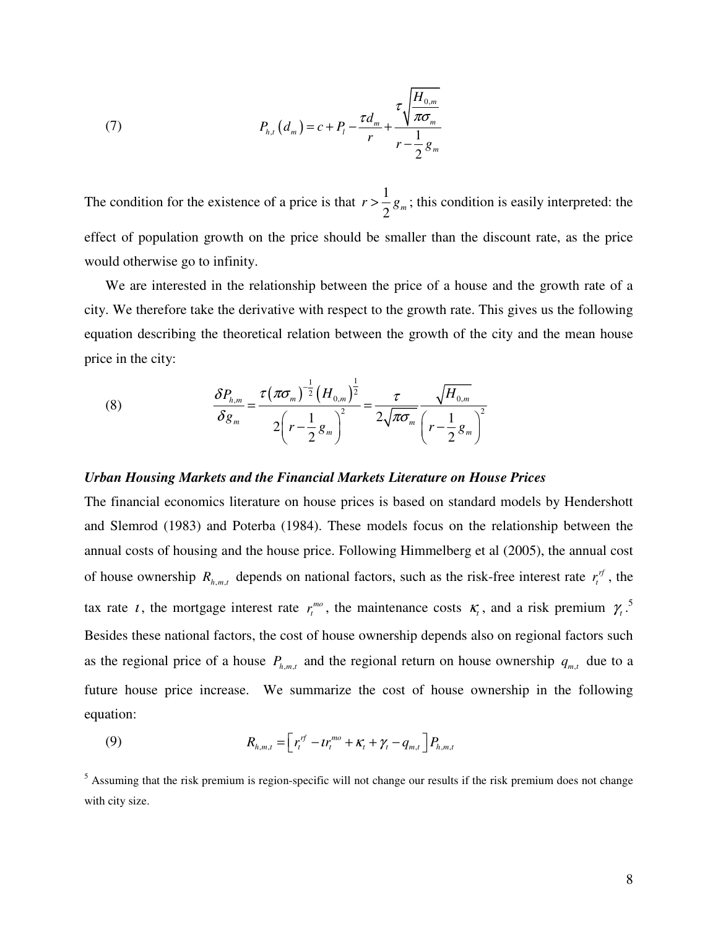(7) 
$$
P_{h,t}(d_m) = c + P_t - \frac{\tau d_m}{r} + \frac{\tau \sqrt{\frac{H_{0,m}}{\pi \sigma_m}}}{r - \frac{1}{2}g_m}
$$

The condition for the existence of a price is that  $r > \frac{1}{2}$  $r > \frac{1}{2} g_m$ ; this condition is easily interpreted: the effect of population growth on the price should be smaller than the discount rate, as the price would otherwise go to infinity.

We are interested in the relationship between the price of a house and the growth rate of a city. We therefore take the derivative with respect to the growth rate. This gives us the following equation describing the theoretical relation between the growth of the city and the mean house price in the city:

(8) 
$$
\frac{\delta P_{h,m}}{\delta g_m} = \frac{\tau (\pi \sigma_m)^{\frac{1}{2}} (H_{0,m})^{\frac{1}{2}}}{2(r - \frac{1}{2}g_m)^2} = \frac{\tau}{2\sqrt{\pi \sigma_m}} \frac{\sqrt{H_{0,m}}}{(r - \frac{1}{2}g_m)^2}
$$

## *Urban Housing Markets and the Financial Markets Literature on House Prices*

The financial economics literature on house prices is based on standard models by Hendershott and Slemrod (1983) and Poterba (1984). These models focus on the relationship between the annual costs of housing and the house price. Following Himmelberg et al (2005), the annual cost of house ownership  $R_{h,m,t}$  depends on national factors, such as the risk-free interest rate  $r_t^{rf}$ , the tax rate *t*, the mortgage interest rate  $r_t^{mo}$ , the maintenance costs  $\kappa_t$ , and a risk premium  $\gamma_t$ .<sup>5</sup> Besides these national factors, the cost of house ownership depends also on regional factors such as the regional price of a house  $P_{h,m,t}$  and the regional return on house ownership  $q_{m,t}$  due to a future house price increase. We summarize the cost of house ownership in the following equation:

(9) 
$$
R_{h,m,t} = \left[ r_t^{rf} - tr_t^{mo} + \kappa_t + \gamma_t - q_{m,t} \right] P_{h,m,t}
$$

<sup>5</sup> Assuming that the risk premium is region-specific will not change our results if the risk premium does not change with city size.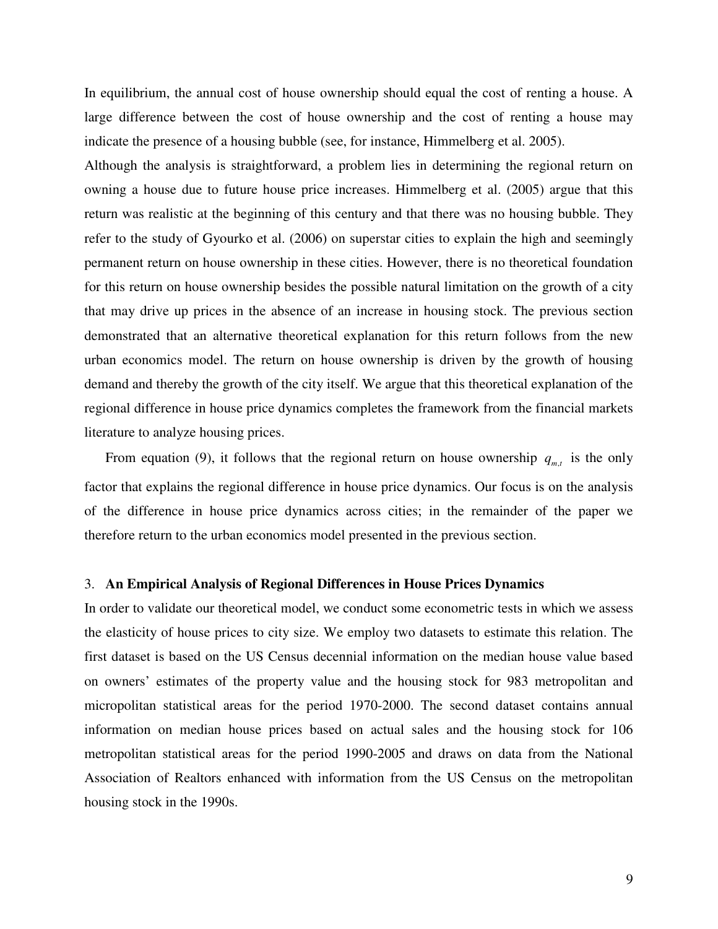In equilibrium, the annual cost of house ownership should equal the cost of renting a house. A large difference between the cost of house ownership and the cost of renting a house may indicate the presence of a housing bubble (see, for instance, Himmelberg et al. 2005).

Although the analysis is straightforward, a problem lies in determining the regional return on owning a house due to future house price increases. Himmelberg et al. (2005) argue that this return was realistic at the beginning of this century and that there was no housing bubble. They refer to the study of Gyourko et al. (2006) on superstar cities to explain the high and seemingly permanent return on house ownership in these cities. However, there is no theoretical foundation for this return on house ownership besides the possible natural limitation on the growth of a city that may drive up prices in the absence of an increase in housing stock. The previous section demonstrated that an alternative theoretical explanation for this return follows from the new urban economics model. The return on house ownership is driven by the growth of housing demand and thereby the growth of the city itself. We argue that this theoretical explanation of the regional difference in house price dynamics completes the framework from the financial markets literature to analyze housing prices.

From equation (9), it follows that the regional return on house ownership  $q_{m,t}$  is the only factor that explains the regional difference in house price dynamics. Our focus is on the analysis of the difference in house price dynamics across cities; in the remainder of the paper we therefore return to the urban economics model presented in the previous section.

### 3. **An Empirical Analysis of Regional Differences in House Prices Dynamics**

In order to validate our theoretical model, we conduct some econometric tests in which we assess the elasticity of house prices to city size. We employ two datasets to estimate this relation. The first dataset is based on the US Census decennial information on the median house value based on owners' estimates of the property value and the housing stock for 983 metropolitan and micropolitan statistical areas for the period 1970-2000. The second dataset contains annual information on median house prices based on actual sales and the housing stock for 106 metropolitan statistical areas for the period 1990-2005 and draws on data from the National Association of Realtors enhanced with information from the US Census on the metropolitan housing stock in the 1990s.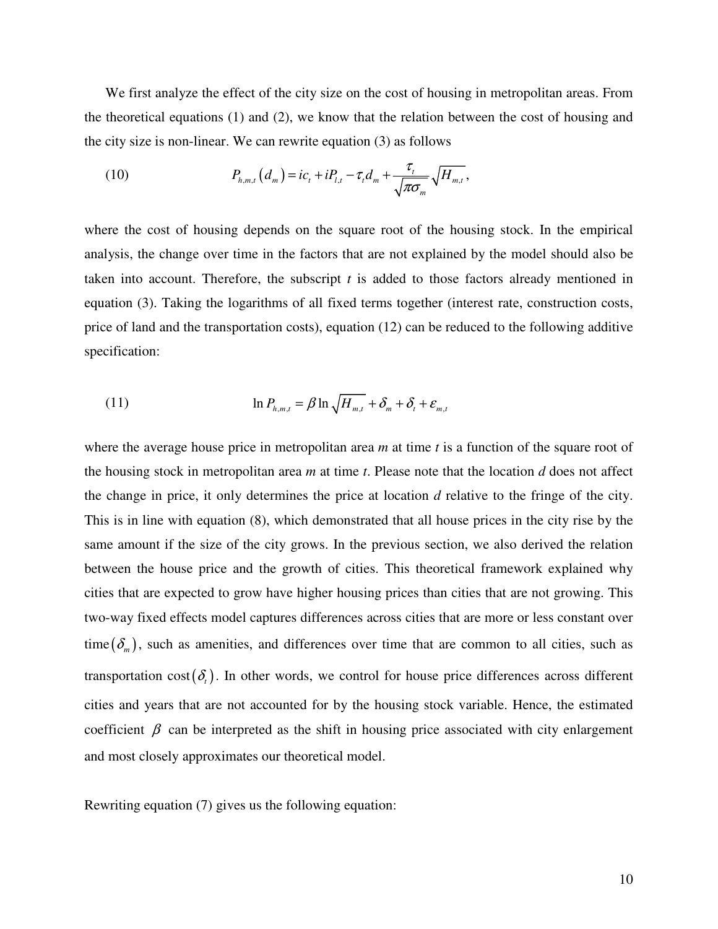We first analyze the effect of the city size on the cost of housing in metropolitan areas. From the theoretical equations (1) and (2), we know that the relation between the cost of housing and the city size is non-linear. We can rewrite equation (3) as follows

(10) 
$$
P_{h,m,t}(d_m) = ic_t + iP_{l,t} - \tau_t d_m + \frac{\tau_t}{\sqrt{\pi \sigma_m}} \sqrt{H_{m,t}},
$$

where the cost of housing depends on the square root of the housing stock. In the empirical analysis, the change over time in the factors that are not explained by the model should also be taken into account. Therefore, the subscript *t* is added to those factors already mentioned in equation (3). Taking the logarithms of all fixed terms together (interest rate, construction costs, price of land and the transportation costs), equation (12) can be reduced to the following additive specification:

(11) 
$$
\ln P_{h,m,t} = \beta \ln \sqrt{H_{m,t}} + \delta_m + \delta_t + \varepsilon_{m,t}
$$

where the average house price in metropolitan area *m* at time *t* is a function of the square root of the housing stock in metropolitan area *m* at time *t*. Please note that the location *d* does not affect the change in price, it only determines the price at location *d* relative to the fringe of the city. This is in line with equation (8), which demonstrated that all house prices in the city rise by the same amount if the size of the city grows. In the previous section, we also derived the relation between the house price and the growth of cities. This theoretical framework explained why cities that are expected to grow have higher housing prices than cities that are not growing. This two-way fixed effects model captures differences across cities that are more or less constant over time  $(\delta_m)$ , such as amenities, and differences over time that are common to all cities, such as transportation cost( $\delta_t$ ). In other words, we control for house price differences across different cities and years that are not accounted for by the housing stock variable. Hence, the estimated coefficient  $\beta$  can be interpreted as the shift in housing price associated with city enlargement and most closely approximates our theoretical model.

Rewriting equation (7) gives us the following equation: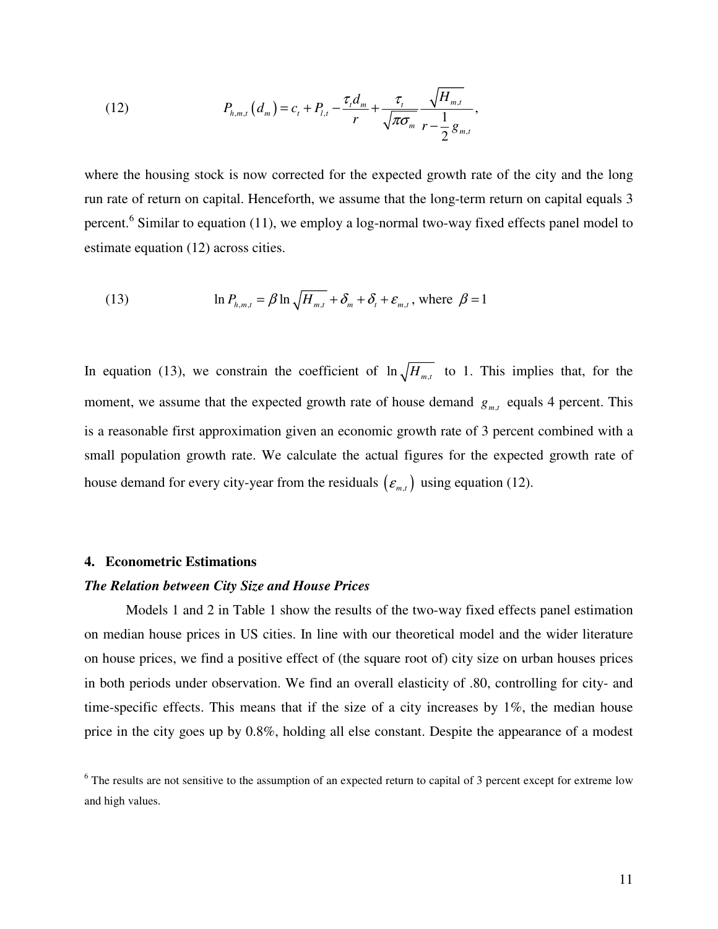(12) 
$$
P_{h,m,t}(d_m) = c_t + P_{l,t} - \frac{\tau_t d_m}{r} + \frac{\tau_t}{\sqrt{\pi \sigma_m}} \frac{\sqrt{H_{m,t}}}{r - \frac{1}{2}g_{m,t}},
$$

where the housing stock is now corrected for the expected growth rate of the city and the long run rate of return on capital. Henceforth, we assume that the long-term return on capital equals 3 percent.<sup>6</sup> Similar to equation (11), we employ a log-normal two-way fixed effects panel model to estimate equation (12) across cities.

(13) 
$$
\ln P_{h,m,t} = \beta \ln \sqrt{H_{m,t}} + \delta_m + \delta_t + \varepsilon_{m,t}, \text{ where } \beta = 1
$$

In equation (13), we constrain the coefficient of  $\ln \sqrt{H_{m,t}}$  to 1. This implies that, for the moment, we assume that the expected growth rate of house demand  $g_{m,t}$  equals 4 percent. This is a reasonable first approximation given an economic growth rate of 3 percent combined with a small population growth rate. We calculate the actual figures for the expected growth rate of house demand for every city-year from the residuals  $(\varepsilon_{m,t})$  using equation (12).

#### **4. Econometric Estimations**

#### *The Relation between City Size and House Prices*

 Models 1 and 2 in Table 1 show the results of the two-way fixed effects panel estimation on median house prices in US cities. In line with our theoretical model and the wider literature on house prices, we find a positive effect of (the square root of) city size on urban houses prices in both periods under observation. We find an overall elasticity of .80, controlling for city- and time-specific effects. This means that if the size of a city increases by 1%, the median house price in the city goes up by 0.8%, holding all else constant. Despite the appearance of a modest

<sup>&</sup>lt;sup>6</sup> The results are not sensitive to the assumption of an expected return to capital of 3 percent except for extreme low and high values.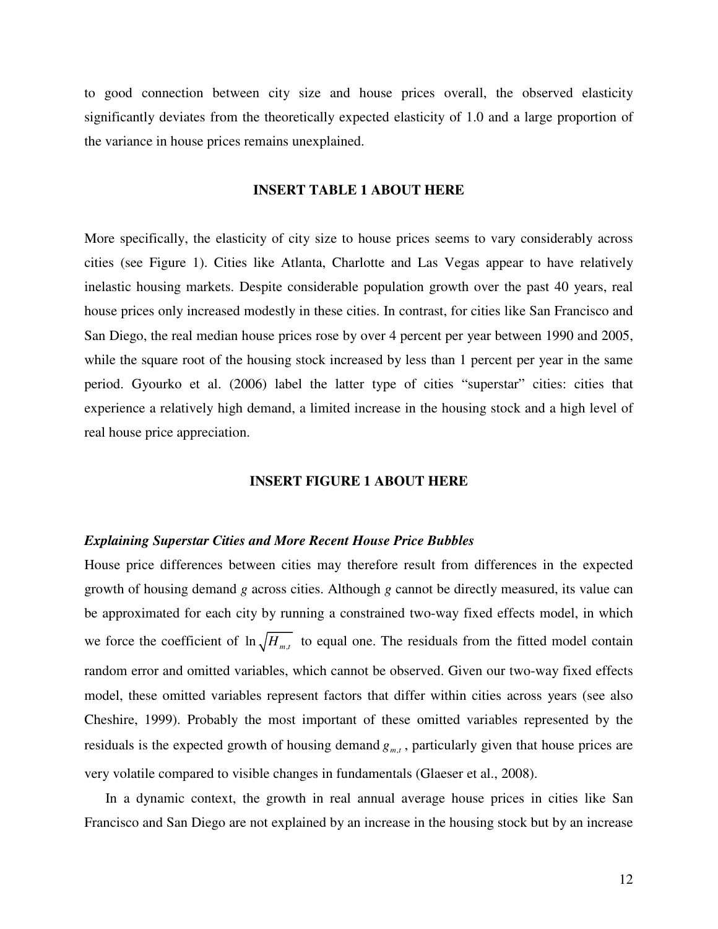to good connection between city size and house prices overall, the observed elasticity significantly deviates from the theoretically expected elasticity of 1.0 and a large proportion of the variance in house prices remains unexplained.

### **INSERT TABLE 1 ABOUT HERE**

More specifically, the elasticity of city size to house prices seems to vary considerably across cities (see Figure 1). Cities like Atlanta, Charlotte and Las Vegas appear to have relatively inelastic housing markets. Despite considerable population growth over the past 40 years, real house prices only increased modestly in these cities. In contrast, for cities like San Francisco and San Diego, the real median house prices rose by over 4 percent per year between 1990 and 2005, while the square root of the housing stock increased by less than 1 percent per year in the same period. Gyourko et al. (2006) label the latter type of cities "superstar" cities: cities that experience a relatively high demand, a limited increase in the housing stock and a high level of real house price appreciation.

## **INSERT FIGURE 1 ABOUT HERE**

#### *Explaining Superstar Cities and More Recent House Price Bubbles*

House price differences between cities may therefore result from differences in the expected growth of housing demand *g* across cities. Although *g* cannot be directly measured, its value can be approximated for each city by running a constrained two-way fixed effects model, in which we force the coefficient of  $\ln \sqrt{H_{m,t}}$  to equal one. The residuals from the fitted model contain random error and omitted variables, which cannot be observed. Given our two-way fixed effects model, these omitted variables represent factors that differ within cities across years (see also Cheshire, 1999). Probably the most important of these omitted variables represented by the residuals is the expected growth of housing demand  $g_{m,t}$ , particularly given that house prices are very volatile compared to visible changes in fundamentals (Glaeser et al., 2008).

In a dynamic context, the growth in real annual average house prices in cities like San Francisco and San Diego are not explained by an increase in the housing stock but by an increase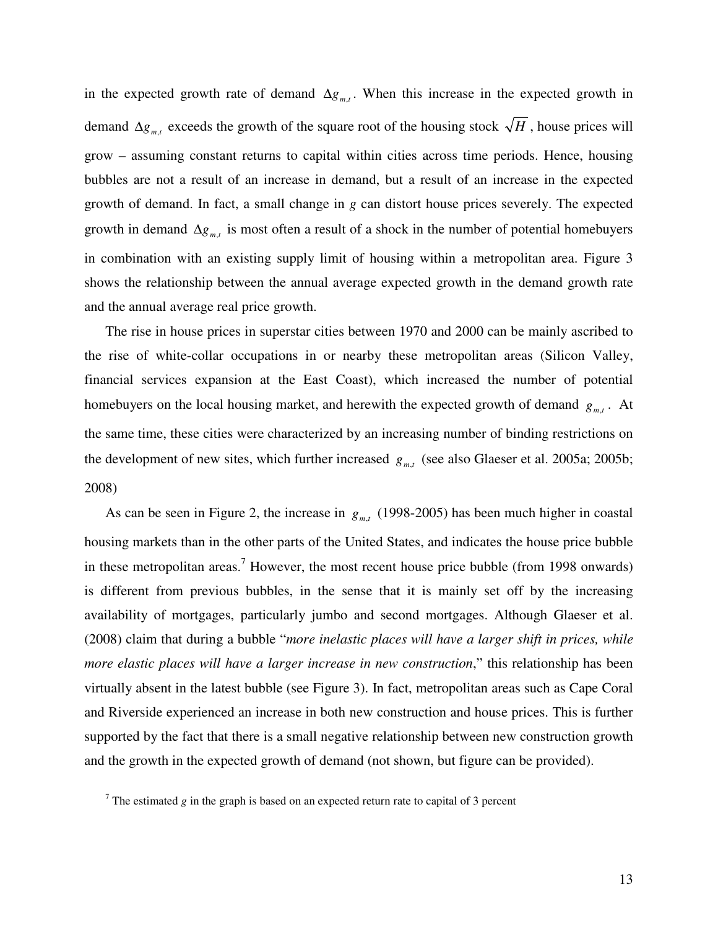in the expected growth rate of demand  $\Delta g_{m,t}$ . When this increase in the expected growth in demand  $\Delta g_{m,t}$  exceeds the growth of the square root of the housing stock  $\sqrt{H}$ , house prices will grow – assuming constant returns to capital within cities across time periods. Hence, housing bubbles are not a result of an increase in demand, but a result of an increase in the expected growth of demand. In fact, a small change in *g* can distort house prices severely. The expected growth in demand  $\Delta g_{m,t}$  is most often a result of a shock in the number of potential homebuyers in combination with an existing supply limit of housing within a metropolitan area. Figure 3 shows the relationship between the annual average expected growth in the demand growth rate and the annual average real price growth.

The rise in house prices in superstar cities between 1970 and 2000 can be mainly ascribed to the rise of white-collar occupations in or nearby these metropolitan areas (Silicon Valley, financial services expansion at the East Coast), which increased the number of potential homebuyers on the local housing market, and herewith the expected growth of demand  $g_{m,t}$ . At the same time, these cities were characterized by an increasing number of binding restrictions on the development of new sites, which further increased  $g_{m,t}$  (see also Glaeser et al. 2005a; 2005b; 2008)

As can be seen in Figure 2, the increase in  $g_{m,t}$  (1998-2005) has been much higher in coastal housing markets than in the other parts of the United States, and indicates the house price bubble in these metropolitan areas.<sup>7</sup> However, the most recent house price bubble (from 1998 onwards) is different from previous bubbles, in the sense that it is mainly set off by the increasing availability of mortgages, particularly jumbo and second mortgages. Although Glaeser et al. (2008) claim that during a bubble "*more inelastic places will have a larger shift in prices, while more elastic places will have a larger increase in new construction*," this relationship has been virtually absent in the latest bubble (see Figure 3). In fact, metropolitan areas such as Cape Coral and Riverside experienced an increase in both new construction and house prices. This is further supported by the fact that there is a small negative relationship between new construction growth and the growth in the expected growth of demand (not shown, but figure can be provided).

 $<sup>7</sup>$  The estimated *g* in the graph is based on an expected return rate to capital of 3 percent</sup>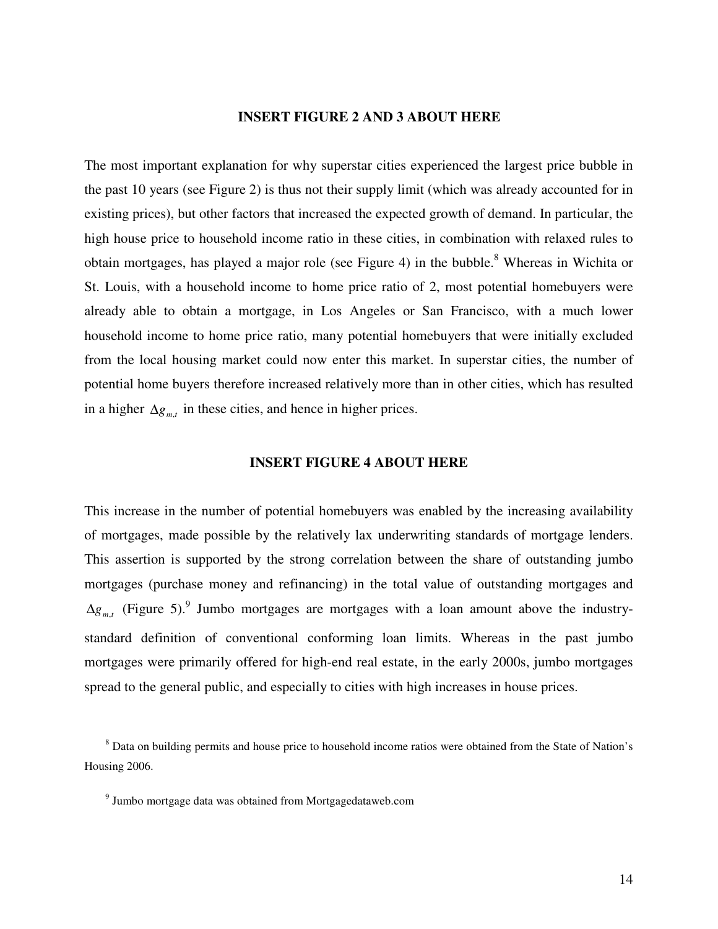## **INSERT FIGURE 2 AND 3 ABOUT HERE**

The most important explanation for why superstar cities experienced the largest price bubble in the past 10 years (see Figure 2) is thus not their supply limit (which was already accounted for in existing prices), but other factors that increased the expected growth of demand. In particular, the high house price to household income ratio in these cities, in combination with relaxed rules to obtain mortgages, has played a major role (see Figure 4) in the bubble.<sup>8</sup> Whereas in Wichita or St. Louis, with a household income to home price ratio of 2, most potential homebuyers were already able to obtain a mortgage, in Los Angeles or San Francisco, with a much lower household income to home price ratio, many potential homebuyers that were initially excluded from the local housing market could now enter this market. In superstar cities, the number of potential home buyers therefore increased relatively more than in other cities, which has resulted in a higher  $\Delta g_{m,t}$  in these cities, and hence in higher prices.

#### **INSERT FIGURE 4 ABOUT HERE**

This increase in the number of potential homebuyers was enabled by the increasing availability of mortgages, made possible by the relatively lax underwriting standards of mortgage lenders. This assertion is supported by the strong correlation between the share of outstanding jumbo mortgages (purchase money and refinancing) in the total value of outstanding mortgages and  $\Delta g_{m,t}$  (Figure 5).<sup>9</sup> Jumbo mortgages are mortgages with a loan amount above the industrystandard definition of conventional conforming loan limits. Whereas in the past jumbo mortgages were primarily offered for high-end real estate, in the early 2000s, jumbo mortgages spread to the general public, and especially to cities with high increases in house prices.

<sup>&</sup>lt;sup>8</sup> Data on building permits and house price to household income ratios were obtained from the State of Nation's Housing 2006.

<sup>9</sup> Jumbo mortgage data was obtained from Mortgagedataweb.com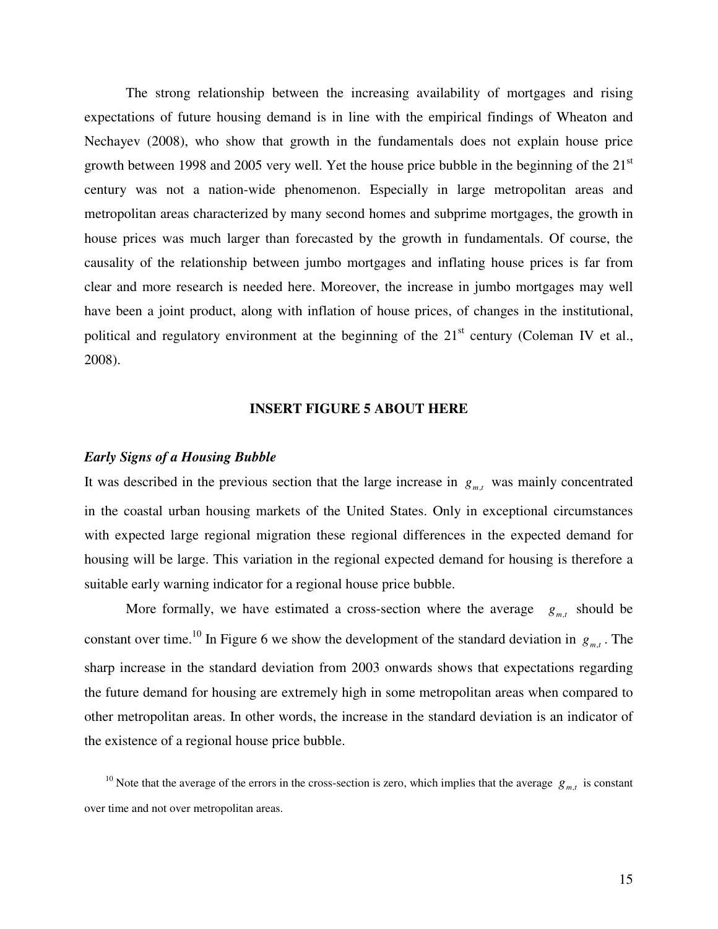The strong relationship between the increasing availability of mortgages and rising expectations of future housing demand is in line with the empirical findings of Wheaton and Nechayev (2008), who show that growth in the fundamentals does not explain house price growth between 1998 and 2005 very well. Yet the house price bubble in the beginning of the  $21<sup>st</sup>$ century was not a nation-wide phenomenon. Especially in large metropolitan areas and metropolitan areas characterized by many second homes and subprime mortgages, the growth in house prices was much larger than forecasted by the growth in fundamentals. Of course, the causality of the relationship between jumbo mortgages and inflating house prices is far from clear and more research is needed here. Moreover, the increase in jumbo mortgages may well have been a joint product, along with inflation of house prices, of changes in the institutional, political and regulatory environment at the beginning of the  $21<sup>st</sup>$  century (Coleman IV et al., 2008).

## **INSERT FIGURE 5 ABOUT HERE**

#### *Early Signs of a Housing Bubble*

It was described in the previous section that the large increase in  $g_{m,t}$  was mainly concentrated in the coastal urban housing markets of the United States. Only in exceptional circumstances with expected large regional migration these regional differences in the expected demand for housing will be large. This variation in the regional expected demand for housing is therefore a suitable early warning indicator for a regional house price bubble.

More formally, we have estimated a cross-section where the average  $g_{m,t}$  should be constant over time.<sup>10</sup> In Figure 6 we show the development of the standard deviation in  $g_{m,t}$ . The sharp increase in the standard deviation from 2003 onwards shows that expectations regarding the future demand for housing are extremely high in some metropolitan areas when compared to other metropolitan areas. In other words, the increase in the standard deviation is an indicator of the existence of a regional house price bubble.

<sup>10</sup> Note that the average of the errors in the cross-section is zero, which implies that the average  $g_{m,t}$  is constant over time and not over metropolitan areas.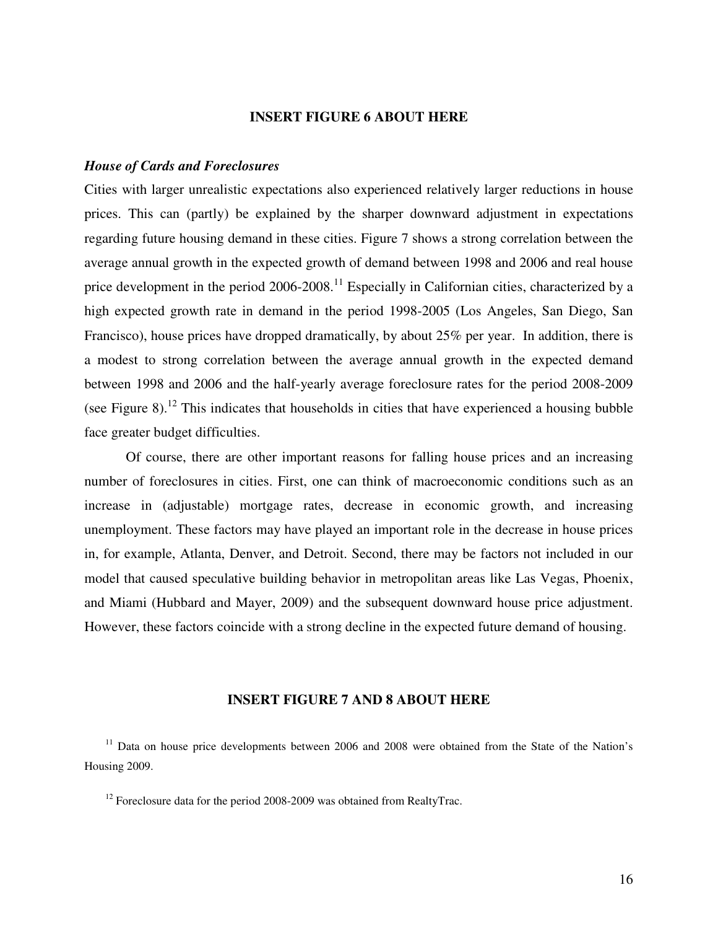## **INSERT FIGURE 6 ABOUT HERE**

### *House of Cards and Foreclosures*

Cities with larger unrealistic expectations also experienced relatively larger reductions in house prices. This can (partly) be explained by the sharper downward adjustment in expectations regarding future housing demand in these cities. Figure 7 shows a strong correlation between the average annual growth in the expected growth of demand between 1998 and 2006 and real house price development in the period  $2006$ - $2008$ .<sup>11</sup> Especially in Californian cities, characterized by a high expected growth rate in demand in the period 1998-2005 (Los Angeles, San Diego, San Francisco), house prices have dropped dramatically, by about 25% per year. In addition, there is a modest to strong correlation between the average annual growth in the expected demand between 1998 and 2006 and the half-yearly average foreclosure rates for the period 2008-2009 (see Figure 8).<sup>12</sup> This indicates that households in cities that have experienced a housing bubble face greater budget difficulties.

Of course, there are other important reasons for falling house prices and an increasing number of foreclosures in cities. First, one can think of macroeconomic conditions such as an increase in (adjustable) mortgage rates, decrease in economic growth, and increasing unemployment. These factors may have played an important role in the decrease in house prices in, for example, Atlanta, Denver, and Detroit. Second, there may be factors not included in our model that caused speculative building behavior in metropolitan areas like Las Vegas, Phoenix, and Miami (Hubbard and Mayer, 2009) and the subsequent downward house price adjustment. However, these factors coincide with a strong decline in the expected future demand of housing.

## **INSERT FIGURE 7 AND 8 ABOUT HERE**

 $11$  Data on house price developments between 2006 and 2008 were obtained from the State of the Nation's Housing 2009.

 $12$  Foreclosure data for the period 2008-2009 was obtained from RealtyTrac.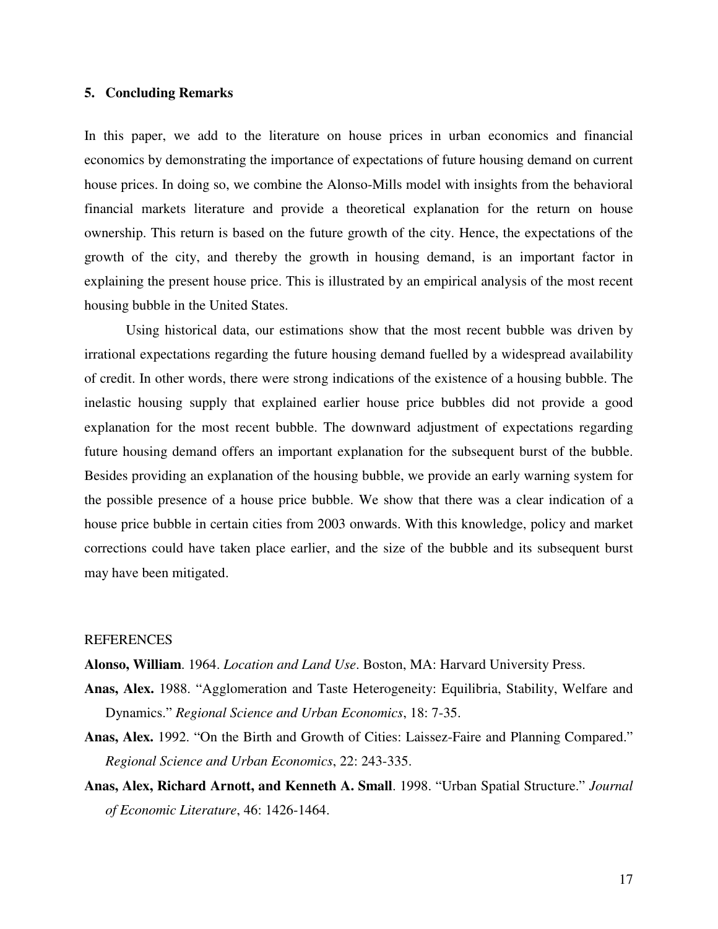## **5. Concluding Remarks**

In this paper, we add to the literature on house prices in urban economics and financial economics by demonstrating the importance of expectations of future housing demand on current house prices. In doing so, we combine the Alonso-Mills model with insights from the behavioral financial markets literature and provide a theoretical explanation for the return on house ownership. This return is based on the future growth of the city. Hence, the expectations of the growth of the city, and thereby the growth in housing demand, is an important factor in explaining the present house price. This is illustrated by an empirical analysis of the most recent housing bubble in the United States.

 Using historical data, our estimations show that the most recent bubble was driven by irrational expectations regarding the future housing demand fuelled by a widespread availability of credit. In other words, there were strong indications of the existence of a housing bubble. The inelastic housing supply that explained earlier house price bubbles did not provide a good explanation for the most recent bubble. The downward adjustment of expectations regarding future housing demand offers an important explanation for the subsequent burst of the bubble. Besides providing an explanation of the housing bubble, we provide an early warning system for the possible presence of a house price bubble. We show that there was a clear indication of a house price bubble in certain cities from 2003 onwards. With this knowledge, policy and market corrections could have taken place earlier, and the size of the bubble and its subsequent burst may have been mitigated.

### **REFERENCES**

**Alonso, William**. 1964. *Location and Land Use*. Boston, MA: Harvard University Press.

- **Anas, Alex.** 1988. "Agglomeration and Taste Heterogeneity: Equilibria, Stability, Welfare and Dynamics." *Regional Science and Urban Economics*, 18: 7-35.
- **Anas, Alex.** 1992. "On the Birth and Growth of Cities: Laissez-Faire and Planning Compared." *Regional Science and Urban Economics*, 22: 243-335.
- **Anas, Alex, Richard Arnott, and Kenneth A. Small**. 1998. "Urban Spatial Structure." *Journal of Economic Literature*, 46: 1426-1464.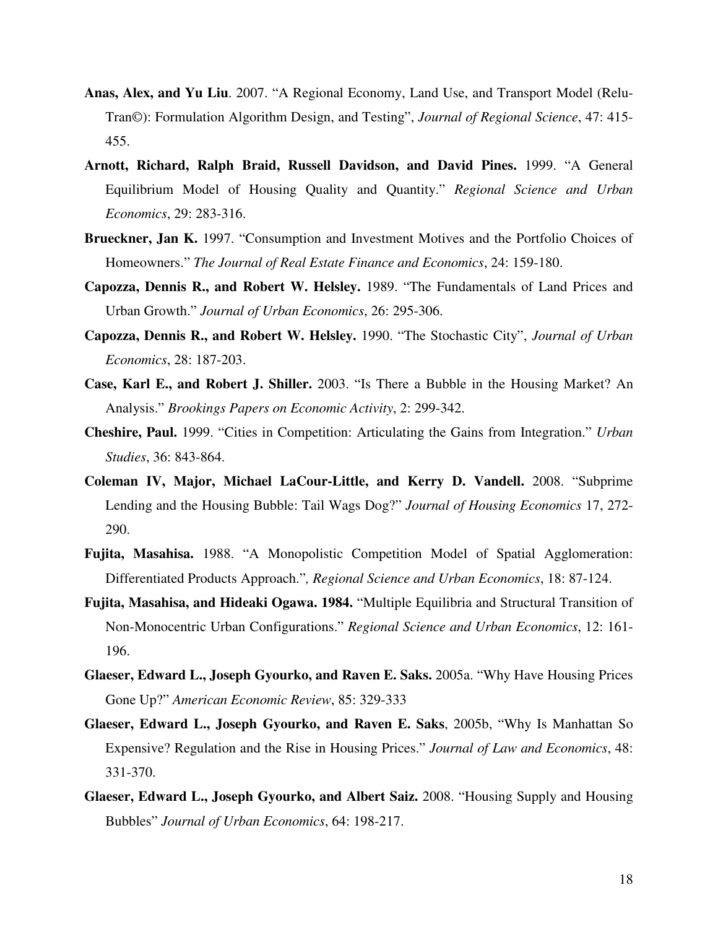- **Anas, Alex, and Yu Liu**. 2007. "A Regional Economy, Land Use, and Transport Model (Relu-Tran©): Formulation Algorithm Design, and Testing", *Journal of Regional Science*, 47: 415- 455.
- **Arnott, Richard, Ralph Braid, Russell Davidson, and David Pines.** 1999. "A General Equilibrium Model of Housing Quality and Quantity." *Regional Science and Urban Economics*, 29: 283-316.
- **Brueckner, Jan K.** 1997. "Consumption and Investment Motives and the Portfolio Choices of Homeowners." *The Journal of Real Estate Finance and Economics*, 24: 159-180.
- **Capozza, Dennis R., and Robert W. Helsley.** 1989. "The Fundamentals of Land Prices and Urban Growth." *Journal of Urban Economics*, 26: 295-306.
- **Capozza, Dennis R., and Robert W. Helsley.** 1990. "The Stochastic City", *Journal of Urban Economics*, 28: 187-203.
- **Case, Karl E., and Robert J. Shiller.** 2003. "Is There a Bubble in the Housing Market? An Analysis." *Brookings Papers on Economic Activity*, 2: 299-342.
- **Cheshire, Paul.** 1999. "Cities in Competition: Articulating the Gains from Integration." *Urban Studies*, 36: 843-864.
- **Coleman IV, Major, Michael LaCour-Little, and Kerry D. Vandell.** 2008. "Subprime Lending and the Housing Bubble: Tail Wags Dog?" *Journal of Housing Economics* 17, 272- 290.
- **Fujita, Masahisa.** 1988. "A Monopolistic Competition Model of Spatial Agglomeration: Differentiated Products Approach."*, Regional Science and Urban Economics*, 18: 87-124.
- **Fujita, Masahisa, and Hideaki Ogawa. 1984.** "Multiple Equilibria and Structural Transition of Non-Monocentric Urban Configurations." *Regional Science and Urban Economics*, 12: 161- 196.
- **Glaeser, Edward L., Joseph Gyourko, and Raven E. Saks.** 2005a. "Why Have Housing Prices Gone Up?" *American Economic Review*, 85: 329-333
- **Glaeser, Edward L., Joseph Gyourko, and Raven E. Saks**, 2005b, "Why Is Manhattan So Expensive? Regulation and the Rise in Housing Prices." *Journal of Law and Economics*, 48: 331-370.
- **Glaeser, Edward L., Joseph Gyourko, and Albert Saiz.** 2008. "Housing Supply and Housing Bubbles" *Journal of Urban Economics*, 64: 198-217.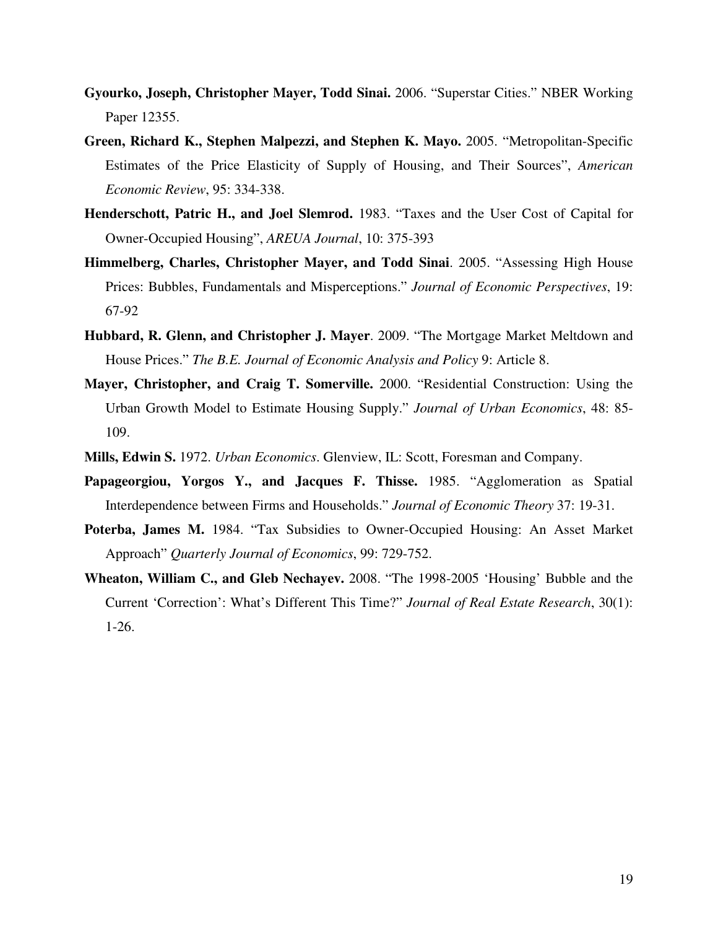- **Gyourko, Joseph, Christopher Mayer, Todd Sinai.** 2006. "Superstar Cities." NBER Working Paper 12355.
- **Green, Richard K., Stephen Malpezzi, and Stephen K. Mayo.** 2005. "Metropolitan-Specific Estimates of the Price Elasticity of Supply of Housing, and Their Sources", *American Economic Review*, 95: 334-338.
- **Henderschott, Patric H., and Joel Slemrod.** 1983. "Taxes and the User Cost of Capital for Owner-Occupied Housing", *AREUA Journal*, 10: 375-393
- **Himmelberg, Charles, Christopher Mayer, and Todd Sinai**. 2005. "Assessing High House Prices: Bubbles, Fundamentals and Misperceptions." *Journal of Economic Perspectives*, 19: 67-92
- **Hubbard, R. Glenn, and Christopher J. Mayer**. 2009. "The Mortgage Market Meltdown and House Prices." *The B.E. Journal of Economic Analysis and Policy* 9: Article 8.
- **Mayer, Christopher, and Craig T. Somerville.** 2000. "Residential Construction: Using the Urban Growth Model to Estimate Housing Supply." *Journal of Urban Economics*, 48: 85- 109.
- **Mills, Edwin S.** 1972. *Urban Economics*. Glenview, IL: Scott, Foresman and Company.
- **Papageorgiou, Yorgos Y., and Jacques F. Thisse.** 1985. "Agglomeration as Spatial Interdependence between Firms and Households." *Journal of Economic Theory* 37: 19-31.
- **Poterba, James M.** 1984. "Tax Subsidies to Owner-Occupied Housing: An Asset Market Approach" *Quarterly Journal of Economics*, 99: 729-752.
- **Wheaton, William C., and Gleb Nechayev.** 2008. "The 1998-2005 'Housing' Bubble and the Current 'Correction': What's Different This Time?" *Journal of Real Estate Research*, 30(1): 1-26.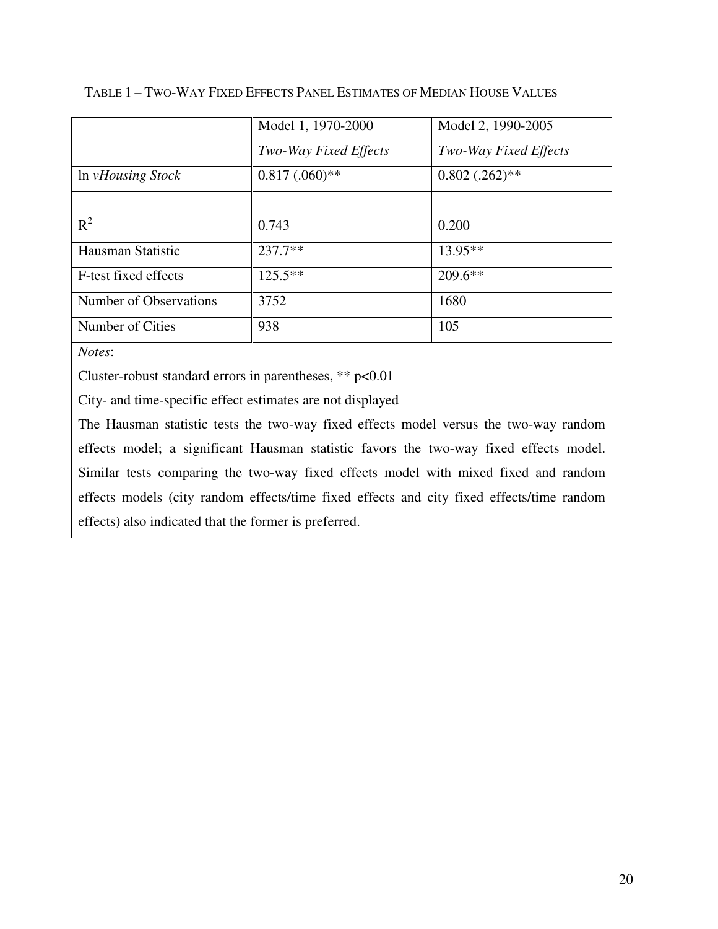| Model 1, 1970-2000    | Model 2, 1990-2005           |
|-----------------------|------------------------------|
| Two-Way Fixed Effects | <b>Two-Way Fixed Effects</b> |
| $0.817(0.60)$ **      | $0.802$ $(.262)**$           |
|                       |                              |
| 0.743                 | 0.200                        |
| $237.7**$             | $13.95**$                    |
| $125.5**$             | $209.6**$                    |
| 3752                  | 1680                         |
| 938                   | 105                          |
|                       |                              |

## TABLE 1 – TWO-WAY FIXED EFFECTS PANEL ESTIMATES OF MEDIAN HOUSE VALUES

*Notes*:

Cluster-robust standard errors in parentheses, \*\* p<0.01

City- and time-specific effect estimates are not displayed

The Hausman statistic tests the two-way fixed effects model versus the two-way random effects model; a significant Hausman statistic favors the two-way fixed effects model. Similar tests comparing the two-way fixed effects model with mixed fixed and random effects models (city random effects/time fixed effects and city fixed effects/time random effects) also indicated that the former is preferred.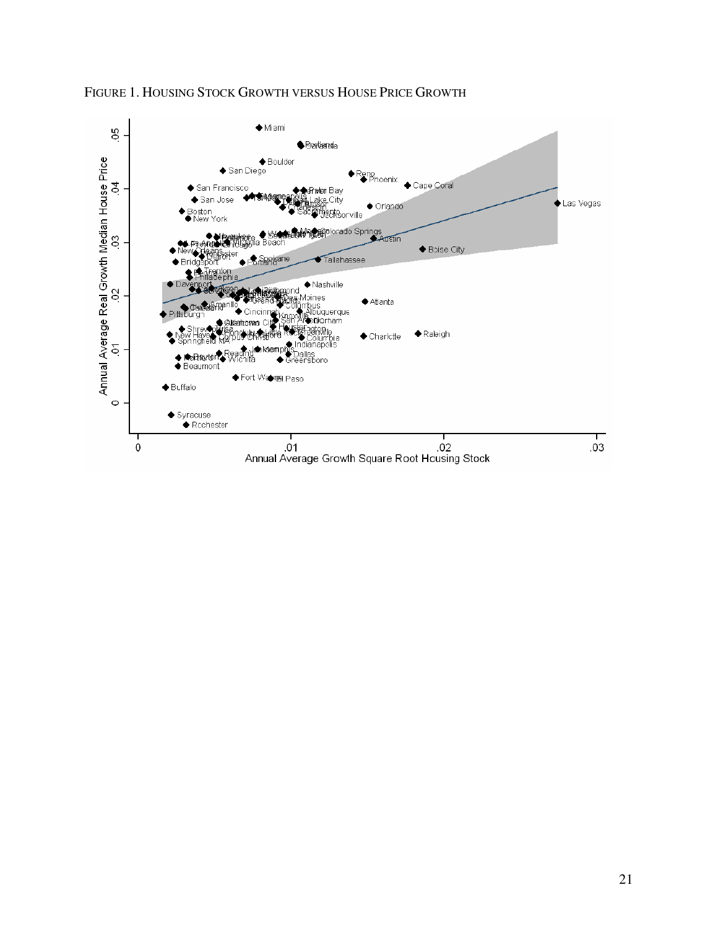

## FIGURE 1. HOUSING STOCK GROWTH VERSUS HOUSE PRICE GROWTH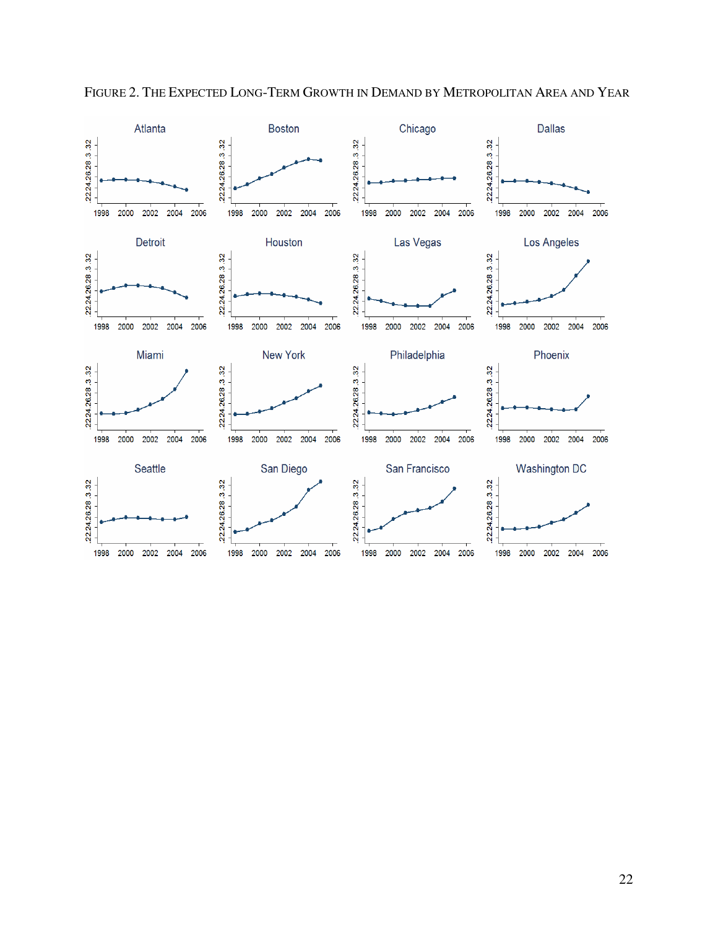

FIGURE 2. THE EXPECTED LONG-TERM GROWTH IN DEMAND BY METROPOLITAN AREA AND YEAR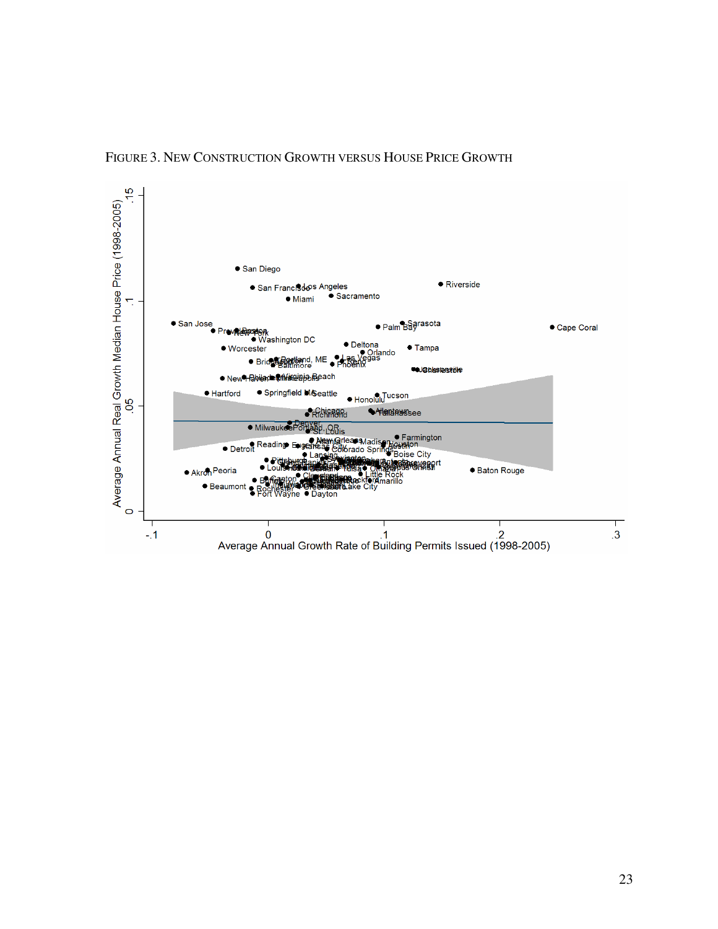

## FIGURE 3. NEW CONSTRUCTION GROWTH VERSUS HOUSE PRICE GROWTH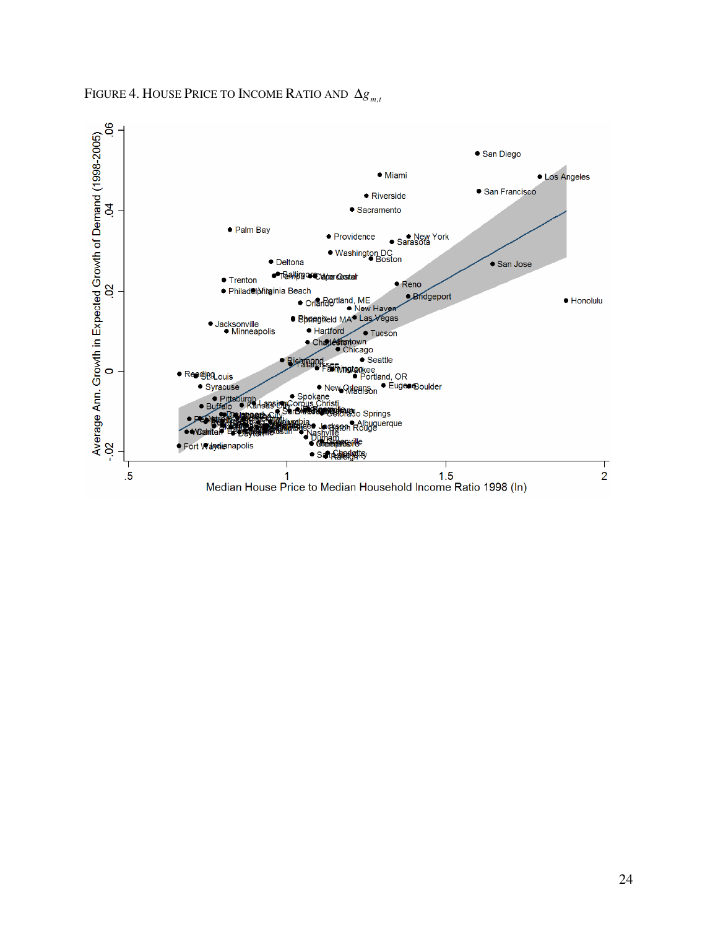

FIGURE 4. HOUSE PRICE TO INCOME RATIO AND  $\Delta g_{m,t}$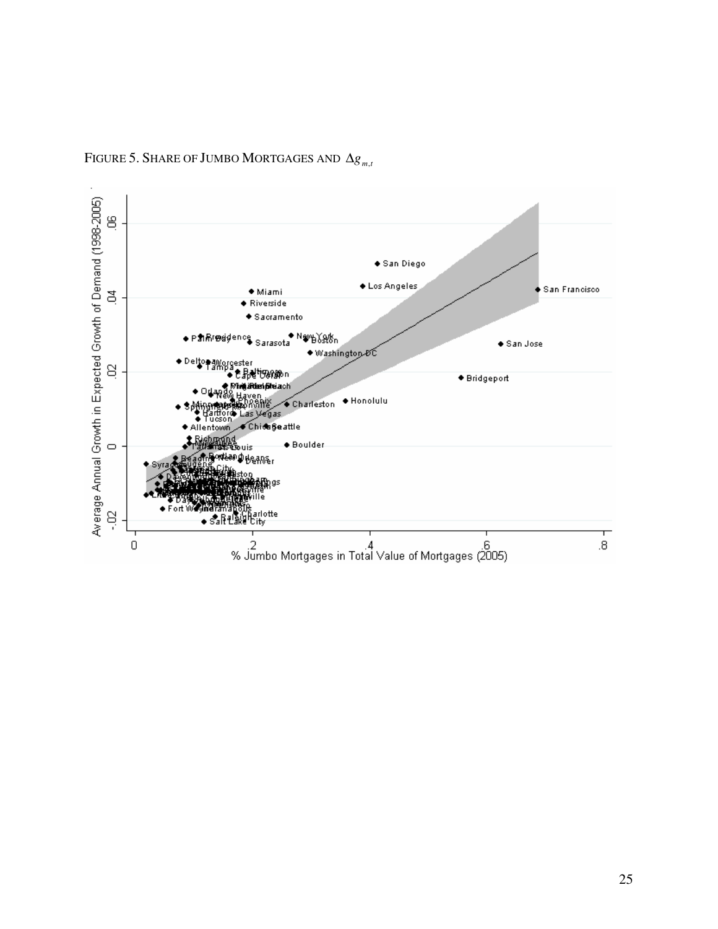

FIGURE 5. SHARE OF JUMBO MORTGAGES AND  $\Delta g_{m,t}$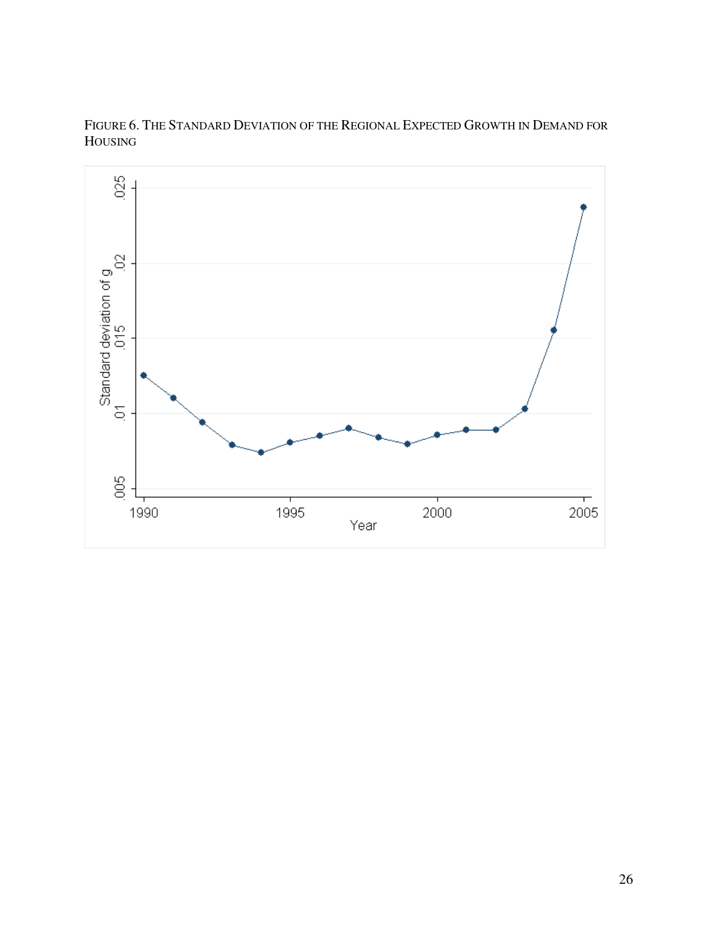

FIGURE 6. THE STANDARD DEVIATION OF THE REGIONAL EXPECTED GROWTH IN DEMAND FOR HOUSING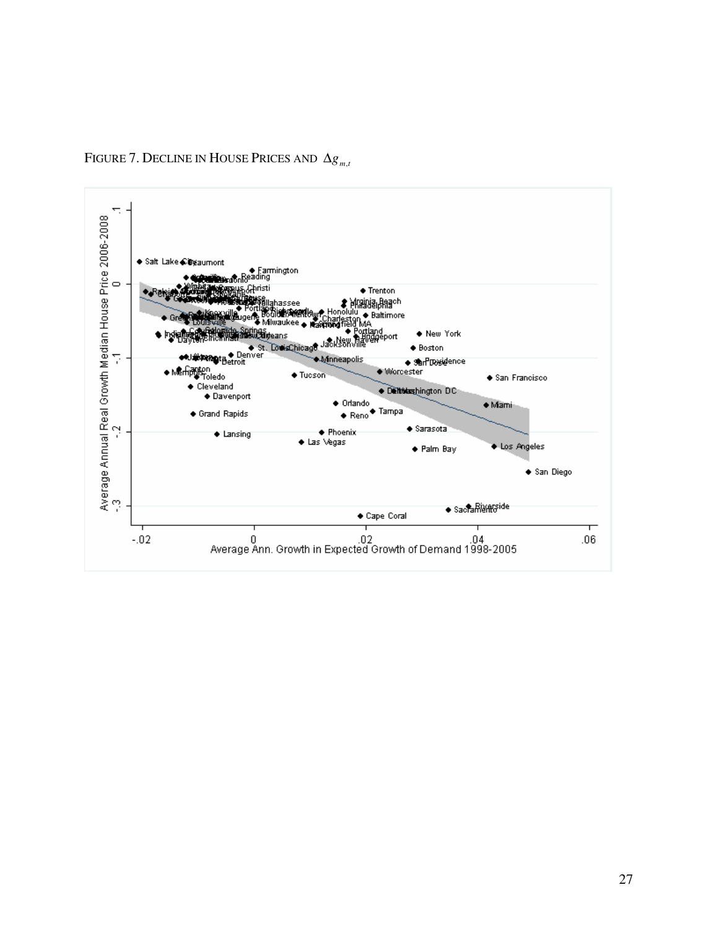

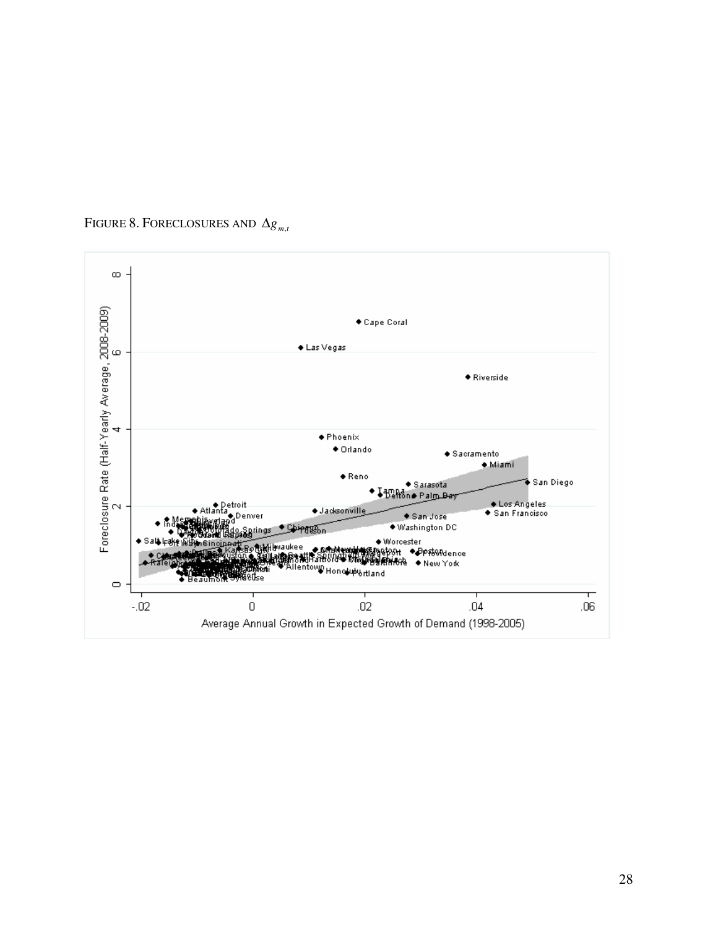

## FIGURE 8. FORECLOSURES AND  $\Delta g_{m,t}$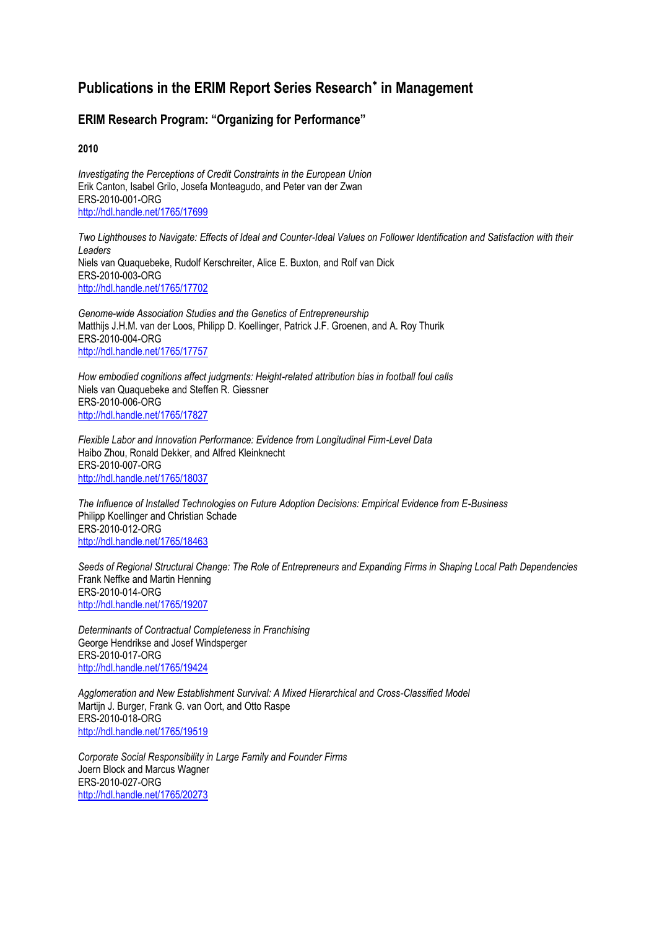## **Publications in the ERIM Report Series Research in Management**

## **ERIM Research Program: "Organizing for Performance"**

**2010**

*Investigating the Perceptions of Credit Constraints in the European Union* Erik Canton, Isabel Grilo, Josefa Monteagudo, and Peter van der Zwan ERS-2010-001-ORG <http://hdl.handle.net/1765/17699>

*Two Lighthouses to Navigate: Effects of Ideal and Counter-Ideal Values on Follower Identification and Satisfaction with their Leaders* Niels van Quaquebeke, Rudolf Kerschreiter, Alice E. Buxton, and Rolf van Dick ERS-2010-003-ORG <http://hdl.handle.net/1765/17702>

*Genome-wide Association Studies and the Genetics of Entrepreneurship* Matthijs J.H.M. van der Loos, Philipp D. Koellinger, Patrick J.F. Groenen, and A. Roy Thurik ERS-2010-004-ORG <http://hdl.handle.net/1765/17757>

*How embodied cognitions affect judgments: Height-related attribution bias in football foul calls* Niels van Quaquebeke and Steffen R. Giessner ERS-2010-006-ORG <http://hdl.handle.net/1765/17827>

*Flexible Labor and Innovation Performance: Evidence from Longitudinal Firm-Level Data* Haibo Zhou, Ronald Dekker, and Alfred Kleinknecht ERS-2010-007-ORG <http://hdl.handle.net/1765/18037>

*The Influence of Installed Technologies on Future Adoption Decisions: Empirical Evidence from E-Business* Philipp Koellinger and Christian Schade ERS-2010-012-ORG <http://hdl.handle.net/1765/18463>

*Seeds of Regional Structural Change: The Role of Entrepreneurs and Expanding Firms in Shaping Local Path Dependencies* Frank Neffke and Martin Henning ERS-2010-014-ORG <http://hdl.handle.net/1765/19207>

*Determinants of Contractual Completeness in Franchising* George Hendrikse and Josef Windsperger ERS-2010-017-ORG <http://hdl.handle.net/1765/19424>

*Agglomeration and New Establishment Survival: A Mixed Hierarchical and Cross-Classified Model* Martijn J. Burger, Frank G. van Oort, and Otto Raspe ERS-2010-018-ORG <http://hdl.handle.net/1765/19519>

*Corporate Social Responsibility in Large Family and Founder Firms* Joern Block and Marcus Wagner ERS-2010-027-ORG <http://hdl.handle.net/1765/20273>